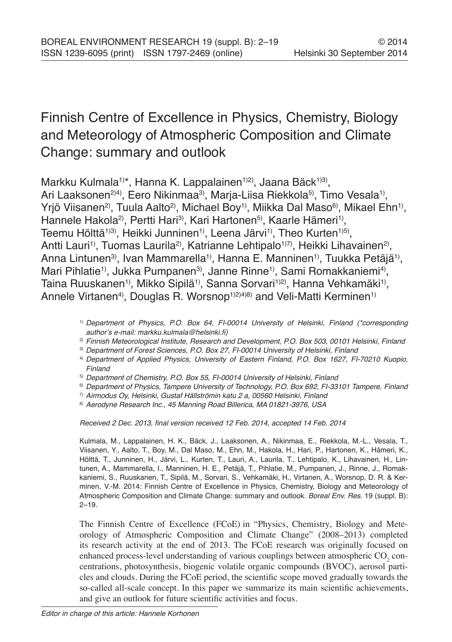# Finnish Centre of Excellence in Physics, Chemistry, Biology and Meteorology of Atmospheric Composition and Climate Change: summary and outlook

Markku Kulmala<sup>1)\*</sup>, Hanna K. Lappalainen<sup>1)2)</sup>, Jaana Bäck<sup>1)3)</sup>,

Ari Laaksonen<sup>2)4)</sup>, Eero Nikinmaa<sup>3)</sup>, Maria-Liisa Riekkola<sup>5)</sup>, Timo Vesala<sup>1)</sup>, Yrjö Viisanen<sup>2</sup>, Tuula Aalto<sup>2</sup>, Michael Boy<sup>1</sup>, Miikka Dal Maso<sup>6</sup>, Mikael Ehn<sup>1</sup>, Hannele Hakola<sup>2</sup>, Pertti Hari<sup>3</sup>, Kari Hartonen<sup>5)</sup>, Kaarle Hämeri<sup>1</sup>, Teemu Hölttä<sup>1)3)</sup>, Heikki Junninen<sup>1)</sup>, Leena Järvi<sup>1)</sup>, Theo Kurten<sup>1)5)</sup>, Antti Lauri<sup>1</sup>, Tuomas Laurila<sup>2</sup>, Katrianne Lehtipalo<sup>1)7)</sup>, Heikki Lihavainen<sup>2)</sup>, Anna Lintunen<sup>3)</sup>, Ivan Mammarella<sup>1)</sup>, Hanna E. Manninen<sup>1)</sup>, Tuukka Petäjä<sup>1)</sup>, Mari Pihlatie<sup>1)</sup>, Jukka Pumpanen<sup>3)</sup>, Janne Rinne<sup>1)</sup>, Sami Romakkaniemi<sup>4)</sup>, Taina Ruuskanen<sup>1)</sup>, Mikko Sipilä<sup>1)</sup>, Sanna Sorvari<sup>1)2)</sup>, Hanna Vehkamäki<sup>1)</sup>, Annele Virtanen<sup>4)</sup>, Douglas R. Worsnop<sup>1)2)4)8</sup> and Veli-Matti Kerminen<sup>1)</sup>

- 1) *Department of Physics, P.O. Box 64, FI-00014 University of Helsinki, Finland (\*corresponding*  author's e-mail: markku.kulmala@helsinki.fi)
- 2) *Finnish Meteorological Institute, Research and Development, P.O. Box 503, 00101 Helsinki, Finland*
- 3) *Department of Forest Sciences, P.O. Box 27, FI-00014 University of Helsinki, Finland*
- 4) *Department of Applied Physics, University of Eastern Finland, P.O. Box 1627, FI-70210 Kuopio, Finland*
- 5) *Department of Chemistry, P.O. Box 55, FI-00014 University of Helsinki, Finland*
- 6) *Department of Physics, Tampere University of Technology, P.O. Box 692, FI-33101 Tampere, Finland*
- 7) *Airmodus Oy, Helsinki, Gustaf Hällströmin katu 2 a, 00560 Helsinki, Finland*
- 8) *Aerodyne Research Inc., 45 Manning Road Billerica, MA 01821-3976, USA*

Received 2 Dec. 2013, final version received 12 Feb. 2014, accepted 14 Feb. 2014

Kulmala, M., Lappalainen, H. K., Bäck, J., Laaksonen, A., Nikinmaa, E., Riekkola, M.-L., Vesala, T., Viisanen, Y., Aalto, T., Boy, M., Dal Maso, M., Ehn, M., Hakola, H., Hari, P., Hartonen, K., Hämeri, K., Hölttä, T., Junninen, H., Järvi, L., Kurten, T., Lauri, A., Laurila, T., Lehtipalo, K., Lihavainen, H., Lintunen, A., Mammarella, I., Manninen, H. E., Petäjä, T., Pihlatie, M., Pumpanen, J., Rinne, J., Romakkaniemi, S., Ruuskanen, T., Sipilä, M., Sorvari, S., Vehkamäki, H., Virtanen, A., Worsnop, D. R. & Kerminen, V.-M. 2014: Finnish Centre of Excellence in Physics, Chemistry, Biology and Meteorology of Atmospheric Composition and Climate Change: summary and outlook. *Boreal Env. Res.* 19 (suppl. B): 2–19.

The Finnish Centre of Excellence (FCoE) in "Physics, Chemistry, Biology and Meteorology of Atmospheric Composition and Climate Change" (2008–2013) completed its research activity at the end of 2013. The FCoE research was originally focused on enhanced process-level understanding of various couplings between atmospheric  $\mathrm{CO}_2$  concentrations, photosynthesis, biogenic volatile organic compounds (BVOC), aerosol particles and clouds. During the FCoE period, the scientific scope moved gradually towards the so-called all-scale concept. In this paper we summarize its main scientific achievements, and give an outlook for future scientific activities and focus.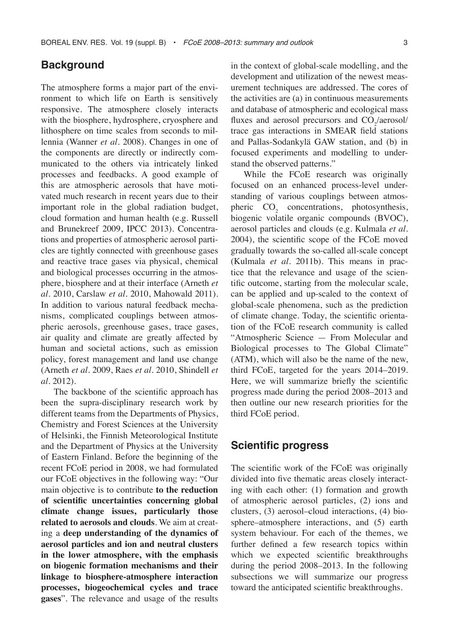## **Background**

The atmosphere forms a major part of the environment to which life on Earth is sensitively responsive. The atmosphere closely interacts with the biosphere, hydrosphere, cryosphere and lithosphere on time scales from seconds to millennia (Wanner *et al*. 2008). Changes in one of the components are directly or indirectly communicated to the others via intricately linked processes and feedbacks. A good example of this are atmospheric aerosols that have motivated much research in recent years due to their important role in the global radiation budget, cloud formation and human health (e.g. Russell and Brunekreef 2009, IPCC 2013). Concentrations and properties of atmospheric aerosol particles are tightly connected with greenhouse gases and reactive trace gases via physical, chemical and biological processes occurring in the atmosphere, biosphere and at their interface (Arneth *et al*. 2010, Carslaw *et al*. 2010, Mahowald 2011). In addition to various natural feedback mechanisms, complicated couplings between atmospheric aerosols, greenhouse gases, trace gases, air quality and climate are greatly affected by human and societal actions, such as emission policy, forest management and land use change (Arneth *et al*. 2009, Raes *et al*. 2010, Shindell *et al*. 2012).

The backbone of the scientific approach has been the supra-disciplinary research work by different teams from the Departments of Physics, Chemistry and Forest Sciences at the University of Helsinki, the Finnish Meteorological Institute and the Department of Physics at the University of Eastern Finland. Before the beginning of the recent FCoE period in 2008, we had formulated our FCoE objectives in the following way: "Our main objective is to contribute **to the reduction of scientific uncertainties concerning global climate change issues, particularly those related to aerosols and clouds**. We aim at creating a **deep understanding of the dynamics of aerosol particles and ion and neutral clusters in the lower atmosphere, with the emphasis on biogenic formation mechanisms and their linkage to biosphere-atmosphere interaction processes, biogeochemical cycles and trace gases**". The relevance and usage of the results

in the context of global-scale modelling, and the development and utilization of the newest measurement techniques are addressed. The cores of the activities are (a) in continuous measurements and database of atmospheric and ecological mass fluxes and aerosol precursors and  $CO_2/a$ erosol/ trace gas interactions in SMEAR field stations and Pallas-Sodankylä GAW station, and (b) in focused experiments and modelling to understand the observed patterns."

While the FCoE research was originally focused on an enhanced process-level understanding of various couplings between atmospheric  $CO<sub>2</sub>$  concentrations, photosynthesis, biogenic volatile organic compounds (BVOC), aerosol particles and clouds (e.g. Kulmala *et al*. 2004), the scientific scope of the FCoE moved gradually towards the so-called all-scale concept (Kulmala *et al*. 2011b). This means in practice that the relevance and usage of the scientific outcome, starting from the molecular scale, can be applied and up-scaled to the context of global-scale phenomena, such as the prediction of climate change. Today, the scientific orientation of the FCoE research community is called "Atmospheric Science — From Molecular and Biological processes to The Global Climate" (ATM), which will also be the name of the new, third FCoE, targeted for the years 2014–2019. Here, we will summarize briefly the scientific progress made during the period 2008–2013 and then outline our new research priorities for the third FCoE period.

## **Scientific progress**

The scientific work of the FCoE was originally divided into five thematic areas closely interacting with each other: (1) formation and growth of atmospheric aerosol particles, (2) ions and clusters, (3) aerosol–cloud interactions, (4) biosphere–atmosphere interactions, and (5) earth system behaviour. For each of the themes, we further defined a few research topics within which we expected scientific breakthroughs during the period 2008–2013. In the following subsections we will summarize our progress toward the anticipated scientific breakthroughs.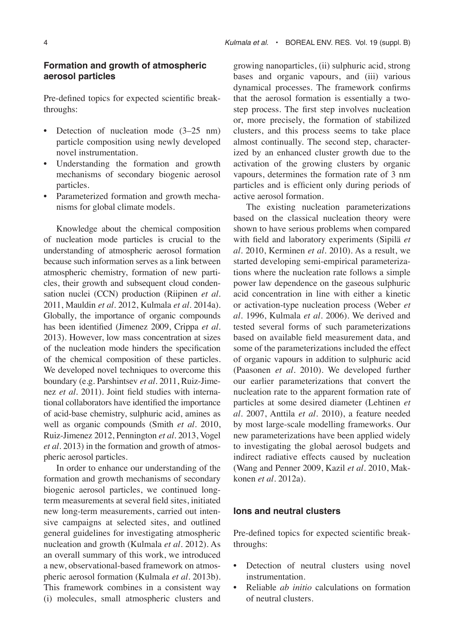### **Formation and growth of atmospheric aerosol particles**

Pre-defined topics for expected scientific breakthroughs:

- Detection of nucleation mode (3–25 nm) particle composition using newly developed novel instrumentation.
- Understanding the formation and growth mechanisms of secondary biogenic aerosol particles.
- Parameterized formation and growth mechanisms for global climate models.

Knowledge about the chemical composition of nucleation mode particles is crucial to the understanding of atmospheric aerosol formation because such information serves as a link between atmospheric chemistry, formation of new particles, their growth and subsequent cloud condensation nuclei (CCN) production (Riipinen *et al*. 2011, Mauldin *et al*. 2012, Kulmala *et al*. 2014a). Globally, the importance of organic compounds has been identified (Jimenez 2009, Crippa *et al*. 2013). However, low mass concentration at sizes of the nucleation mode hinders the specification of the chemical composition of these particles. We developed novel techniques to overcome this boundary (e.g. Parshintsev *et al*. 2011, Ruiz-Jimenez *et al*. 2011). Joint field studies with international collaborators have identified the importance of acid-base chemistry, sulphuric acid, amines as well as organic compounds (Smith *et al*. 2010, Ruiz-Jimenez 2012, Pennington *et al*. 2013, Vogel *et al*. 2013) in the formation and growth of atmospheric aerosol particles.

In order to enhance our understanding of the formation and growth mechanisms of secondary biogenic aerosol particles, we continued longterm measurements at several field sites, initiated new long-term measurements, carried out intensive campaigns at selected sites, and outlined general guidelines for investigating atmospheric nucleation and growth (Kulmala *et al*. 2012). As an overall summary of this work, we introduced a new, observational-based framework on atmospheric aerosol formation (Kulmala *et al.* 2013b). This framework combines in a consistent way (i) molecules, small atmospheric clusters and growing nanoparticles, (ii) sulphuric acid, strong bases and organic vapours, and (iii) various dynamical processes. The framework confirms that the aerosol formation is essentially a twostep process. The first step involves nucleation or, more precisely, the formation of stabilized clusters, and this process seems to take place almost continually. The second step, characterized by an enhanced cluster growth due to the activation of the growing clusters by organic vapours, determines the formation rate of 3 nm particles and is efficient only during periods of active aerosol formation.

The existing nucleation parameterizations based on the classical nucleation theory were shown to have serious problems when compared with field and laboratory experiments (Sipilä *et al*. 2010, Kerminen *et al*. 2010). As a result, we started developing semi-empirical parameterizations where the nucleation rate follows a simple power law dependence on the gaseous sulphuric acid concentration in line with either a kinetic or activation-type nucleation process (Weber *et al*. 1996, Kulmala *et al*. 2006). We derived and tested several forms of such parameterizations based on available field measurement data, and some of the parameterizations included the effect of organic vapours in addition to sulphuric acid (Paasonen *et al*. 2010). We developed further our earlier parameterizations that convert the nucleation rate to the apparent formation rate of particles at some desired diameter (Lehtinen *et al*. 2007, Anttila *et al*. 2010), a feature needed by most large-scale modelling frameworks. Our new parameterizations have been applied widely to investigating the global aerosol budgets and indirect radiative effects caused by nucleation (Wang and Penner 2009, Kazil *et al*. 2010, Makkonen *et al*. 2012a).

#### **Ions and neutral clusters**

Pre-defined topics for expected scientific breakthroughs:

- Detection of neutral clusters using novel instrumentation.
- Reliable *ab initio* calculations on formation of neutral clusters.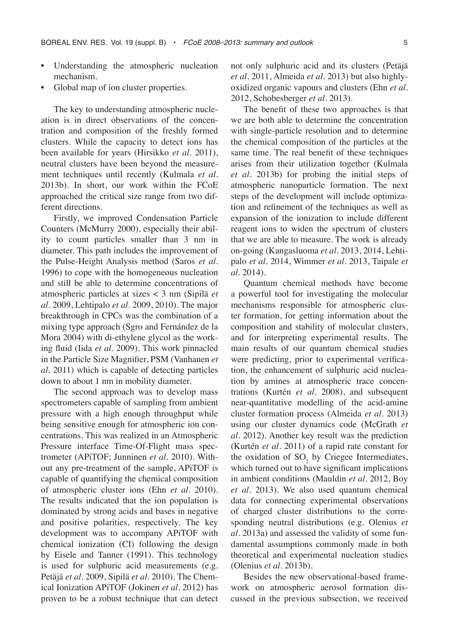- Understanding the atmospheric nucleation mechanism.
- Global map of ion cluster properties.

The key to understanding atmospheric nucleation is in direct observations of the concentration and composition of the freshly formed clusters. While the capacity to detect ions has been available for years (Hirsikko *et al*. 2011), neutral clusters have been beyond the measurement techniques until recently (Kulmala *et al*. 2013b). In short, our work within the FCoE approached the critical size range from two different directions.

Firstly, we improved Condensation Particle Counters (McMurry 2000), especially their ability to count particles smaller than 3 nm in diameter. This path includes the improvement of the Pulse-Height Analysis method (Saros *et al*. 1996) to cope with the homogeneous nucleation and still be able to determine concentrations of atmospheric particles at sizes < 3 nm (Sipilä *et al*. 2009, Lehtipalo *et al*. 2009, 2010). The major breakthrough in CPCs was the combination of a mixing type approach (Sgro and Fernández de la Mora 2004) with di-ethylene glycol as the working fluid (Iida *et al*. 2009). This work pinnacled in the Particle Size Magnifier, PSM (Vanhanen *et al*. 2011) which is capable of detecting particles down to about 1 nm in mobility diameter.

The second approach was to develop mass spectrometers capable of sampling from ambient pressure with a high enough throughput while being sensitive enough for atmospheric ion concentrations. This was realized in an Atmospheric Pressure interface Time-Of-Flight mass spectrometer (APiTOF; Junninen *et al*. 2010). Without any pre-treatment of the sample, APiTOF is capable of quantifying the chemical composition of atmospheric cluster ions (Ehn *et al*. 2010). The results indicated that the ion population is dominated by strong acids and bases in negative and positive polarities, respectively. The key development was to accompany APiTOF with chemical ionization (CI) following the design by Eisele and Tanner (1991). This technology is used for sulphuric acid measurements (e.g. Petäjä *et al*. 2009, Sipilä *et al*. 2010). The Chemical Ionization APiTOF (Jokinen *et al*. 2012) has proven to be a robust technique that can detect

not only sulphuric acid and its clusters (Petäjä *et al*. 2011, Almeida *et al*. 2013) but also highlyoxidized organic vapours and clusters (Ehn *et al*. 2012, Schobesberger *et al*. 2013).

The benefit of these two approaches is that we are both able to determine the concentration with single-particle resolution and to determine the chemical composition of the particles at the same time. The real benefit of these techniques arises from their utilization together (Kulmala *et al*. 2013b) for probing the initial steps of atmospheric nanoparticle formation. The next steps of the development will include optimization and refinement of the techniques as well as expansion of the ionization to include different reagent ions to widen the spectrum of clusters that we are able to measure. The work is already on-going (Kangasluoma *et al*. 2013, 2014, Lehtipalo *et al*. 2014, Wimmer *et al*. 2013, Taipale *et al*. 2014).

Quantum chemical methods have become a powerful tool for investigating the molecular mechanisms responsible for atmospheric cluster formation, for getting information about the composition and stability of molecular clusters, and for interpreting experimental results. The main results of our quantum chemical studies were predicting, prior to experimental verification, the enhancement of sulphuric acid nucleation by amines at atmospheric trace concentrations (Kurtén *et al*. 2008), and subsequent near-quantitative modelling of the acid-amine cluster formation process (Almeida *et al*. 2013) using our cluster dynamics code (McGrath *et al*. 2012). Another key result was the prediction (Kurtén *et al*. 2011) of a rapid rate constant for the oxidation of  $SO_2$  by Criegee Intermediates, which turned out to have significant implications in ambient conditions (Mauldin *et al*. 2012, Boy *et al.* 2013). We also used quantum chemical data for connecting experimental observations of charged cluster distributions to the corresponding neutral distributions (e.g. Olenius *et al*. 2013a) and assessed the validity of some fundamental assumptions commonly made in both theoretical and experimental nucleation studies (Olenius *et al*. 2013b).

Besides the new observational-based framework on atmospheric aerosol formation discussed in the previous subsection, we received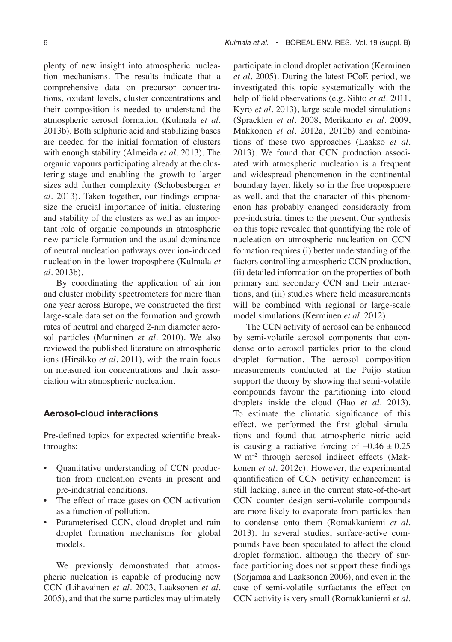plenty of new insight into atmospheric nucleation mechanisms. The results indicate that a comprehensive data on precursor concentrations, oxidant levels, cluster concentrations and their composition is needed to understand the atmospheric aerosol formation (Kulmala *et al*. 2013b). Both sulphuric acid and stabilizing bases are needed for the initial formation of clusters with enough stability (Almeida *et al*. 2013). The organic vapours participating already at the clustering stage and enabling the growth to larger sizes add further complexity (Schobesberger *et al*. 2013). Taken together, our findings emphasize the crucial importance of initial clustering and stability of the clusters as well as an important role of organic compounds in atmospheric new particle formation and the usual dominance of neutral nucleation pathways over ion-induced nucleation in the lower troposphere (Kulmala *et al*. 2013b).

By coordinating the application of air ion and cluster mobility spectrometers for more than one year across Europe, we constructed the first large-scale data set on the formation and growth rates of neutral and charged 2-nm diameter aerosol particles (Manninen *et al*. 2010). We also reviewed the published literature on atmospheric ions (Hirsikko *et al*. 2011), with the main focus on measured ion concentrations and their association with atmospheric nucleation.

#### **Aerosol-cloud interactions**

Pre-defined topics for expected scientific breakthroughs:

- Quantitative understanding of CCN production from nucleation events in present and pre-industrial conditions.
- The effect of trace gases on CCN activation as a function of pollution.
- Parameterised CCN, cloud droplet and rain droplet formation mechanisms for global models.

We previously demonstrated that atmospheric nucleation is capable of producing new CCN (Lihavainen *et al.* 2003, Laaksonen *et al.* 2005), and that the same particles may ultimately participate in cloud droplet activation (Kerminen *et al.* 2005). During the latest FCoE period, we investigated this topic systematically with the help of field observations (e.g. Sihto *et al.* 2011, Kyrö *et al.* 2013), large-scale model simulations (Spracklen *et al*. 2008, Merikanto *et al*. 2009, Makkonen *et al*. 2012a, 2012b) and combinations of these two approaches (Laakso *et al*. 2013). We found that CCN production associated with atmospheric nucleation is a frequent and widespread phenomenon in the continental boundary layer, likely so in the free troposphere as well, and that the character of this phenomenon has probably changed considerably from pre-industrial times to the present. Our synthesis on this topic revealed that quantifying the role of nucleation on atmospheric nucleation on CCN formation requires (i) better understanding of the factors controlling atmospheric CCN production, (ii) detailed information on the properties of both primary and secondary CCN and their interactions, and (iii) studies where field measurements will be combined with regional or large-scale model simulations (Kerminen *et al*. 2012).

The CCN activity of aerosol can be enhanced by semi-volatile aerosol components that condense onto aerosol particles prior to the cloud droplet formation. The aerosol composition measurements conducted at the Puijo station support the theory by showing that semi-volatile compounds favour the partitioning into cloud droplets inside the cloud (Hao *et al*. 2013). To estimate the climatic significance of this effect, we performed the first global simulations and found that atmospheric nitric acid is causing a radiative forcing of  $-0.46 \pm 0.25$ W m–2 through aerosol indirect effects (Makkonen *et al*. 2012c). However, the experimental quantification of CCN activity enhancement is still lacking, since in the current state-of-the-art CCN counter design semi-volatile compounds are more likely to evaporate from particles than to condense onto them (Romakkaniemi *et al*. 2013). In several studies, surface-active compounds have been speculated to affect the cloud droplet formation, although the theory of surface partitioning does not support these findings (Sorjamaa and Laaksonen 2006), and even in the case of semi-volatile surfactants the effect on CCN activity is very small (Romakkaniemi *et al*.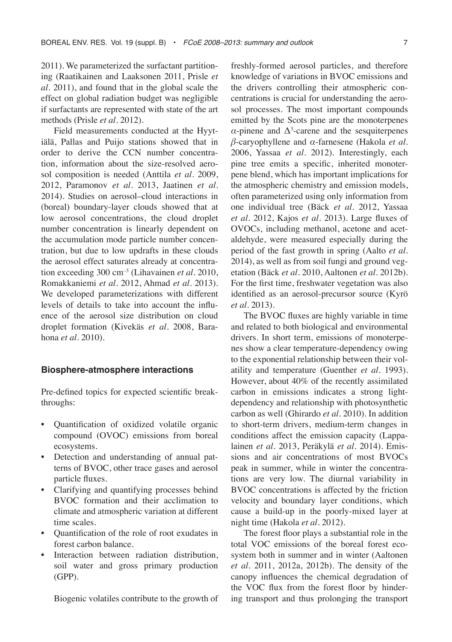2011). We parameterized the surfactant partitioning (Raatikainen and Laaksonen 2011, Prisle *et al*. 2011), and found that in the global scale the effect on global radiation budget was negligible if surfactants are represented with state of the art methods (Prisle *et al*. 2012).

Field measurements conducted at the Hyytiälä, Pallas and Puijo stations showed that in order to derive the CCN number concentration, information about the size-resolved aerosol composition is needed (Anttila *et al*. 2009, 2012, Paramonov *et al*. 2013, Jaatinen *et al*. 2014). Studies on aerosol–cloud interactions in (boreal) boundary-layer clouds showed that at low aerosol concentrations, the cloud droplet number concentration is linearly dependent on the accumulation mode particle number concentration, but due to low updrafts in these clouds the aerosol effect saturates already at concentration exceeding 300 cm–3 (Lihavainen *et al*. 2010, Romakkaniemi *et al*. 2012, Ahmad *et al*. 2013). We developed parameterizations with different levels of details to take into account the influence of the aerosol size distribution on cloud droplet formation (Kivekäs *et al*. 2008, Barahona *et al*. 2010).

#### **Biosphere-atmosphere interactions**

Pre-defined topics for expected scientific breakthroughs:

- Quantification of oxidized volatile organic compound (OVOC) emissions from boreal ecosystems.
- Detection and understanding of annual patterns of BVOC, other trace gases and aerosol particle fluxes.
- Clarifying and quantifying processes behind BVOC formation and their acclimation to climate and atmospheric variation at different time scales.
- Quantification of the role of root exudates in forest carbon balance.
- Interaction between radiation distribution, soil water and gross primary production (GPP).

Biogenic volatiles contribute to the growth of

freshly-formed aerosol particles, and therefore knowledge of variations in BVOC emissions and the drivers controlling their atmospheric concentrations is crucial for understanding the aerosol processes. The most important compounds emitted by the Scots pine are the monoterpenes  $\alpha$ -pinene and  $\Delta$ <sup>3</sup>-carene and the sesquiterpenes *β*-caryophyllene and *α*-farnesene (Hakola *et al*. 2006, Yassaa *et al*. 2012). Interestingly, each pine tree emits a specific, inherited monoterpene blend, which has important implications for the atmospheric chemistry and emission models, often parameterized using only information from one individual tree (Bäck *et al*. 2012, Yassaa *et al*. 2012, Kajos *et al*. 2013). Large fluxes of OVOCs, including methanol, acetone and acetaldehyde, were measured especially during the period of the fast growth in spring (Aalto *et al*. 2014), as well as from soil fungi and ground vegetation (Bäck *et al*. 2010, Aaltonen *et al*. 2012b). For the first time, freshwater vegetation was also identified as an aerosol-precursor source (Kyrö *et al*. 2013).

The BVOC fluxes are highly variable in time and related to both biological and environmental drivers. In short term, emissions of monoterpenes show a clear temperature-dependency owing to the exponential relationship between their volatility and temperature (Guenther *et al.* 1993). However, about 40% of the recently assimilated carbon in emissions indicates a strong lightdependency and relationship with photosynthetic carbon as well (Ghirardo *et al.* 2010). In addition to short-term drivers, medium-term changes in conditions affect the emission capacity (Lappalainen *et al.* 2013, Peräkylä *et al.* 2014). Emissions and air concentrations of most BVOCs peak in summer, while in winter the concentrations are very low. The diurnal variability in BVOC concentrations is affected by the friction velocity and boundary layer conditions, which cause a build-up in the poorly-mixed layer at night time (Hakola *et al.* 2012).

The forest floor plays a substantial role in the total VOC emissions of the boreal forest ecosystem both in summer and in winter (Aaltonen *et al.* 2011, 2012a, 2012b). The density of the canopy influences the chemical degradation of the VOC flux from the forest floor by hindering transport and thus prolonging the transport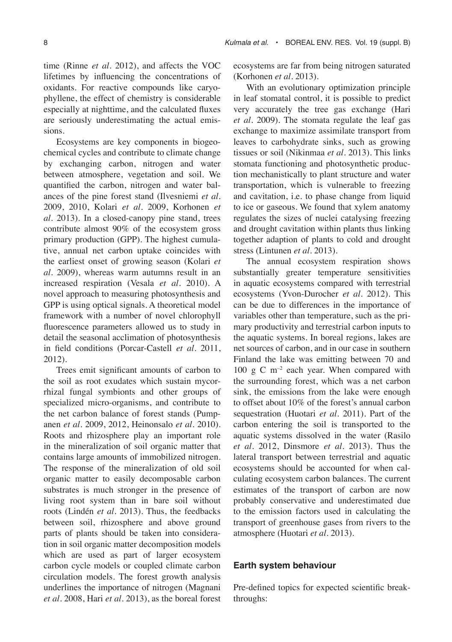time (Rinne *et al.* 2012), and affects the VOC lifetimes by influencing the concentrations of oxidants. For reactive compounds like caryophyllene, the effect of chemistry is considerable especially at nighttime, and the calculated fluxes are seriously underestimating the actual emissions.

Ecosystems are key components in biogeochemical cycles and contribute to climate change by exchanging carbon, nitrogen and water between atmosphere, vegetation and soil. We quantified the carbon, nitrogen and water balances of the pine forest stand (Ilvesniemi *et al.* 2009, 2010, Kolari *et al*. 2009, Korhonen *et al*. 2013). In a closed-canopy pine stand, trees contribute almost 90% of the ecosystem gross primary production (GPP). The highest cumulative, annual net carbon uptake coincides with the earliest onset of growing season (Kolari *et al*. 2009), whereas warm autumns result in an increased respiration (Vesala *et al*. 2010). A novel approach to measuring photosynthesis and GPP is using optical signals. A theoretical model framework with a number of novel chlorophyll fluorescence parameters allowed us to study in detail the seasonal acclimation of photosynthesis in field conditions (Porcar-Castell *et al*. 2011, 2012).

Trees emit significant amounts of carbon to the soil as root exudates which sustain mycorrhizal fungal symbionts and other groups of specialized micro-organisms, and contribute to the net carbon balance of forest stands (Pumpanen *et al*. 2009, 2012, Heinonsalo *et al*. 2010). Roots and rhizosphere play an important role in the mineralization of soil organic matter that contains large amounts of immobilized nitrogen. The response of the mineralization of old soil organic matter to easily decomposable carbon substrates is much stronger in the presence of living root system than in bare soil without roots (Lindén *et al*. 2013). Thus, the feedbacks between soil, rhizosphere and above ground parts of plants should be taken into consideration in soil organic matter decomposition models which are used as part of larger ecosystem carbon cycle models or coupled climate carbon circulation models. The forest growth analysis underlines the importance of nitrogen (Magnani *et al*. 2008, Hari *et al*. 2013), as the boreal forest

ecosystems are far from being nitrogen saturated (Korhonen *et al*. 2013).

With an evolutionary optimization principle in leaf stomatal control, it is possible to predict very accurately the tree gas exchange (Hari *et al*. 2009). The stomata regulate the leaf gas exchange to maximize assimilate transport from leaves to carbohydrate sinks, such as growing tissues or soil (Nikinmaa *et al*. 2013). This links stomata functioning and photosynthetic production mechanistically to plant structure and water transportation, which is vulnerable to freezing and cavitation, i.e. to phase change from liquid to ice or gaseous. We found that xylem anatomy regulates the sizes of nuclei catalysing freezing and drought cavitation within plants thus linking together adaption of plants to cold and drought stress (Lintunen *et al*. 2013).

The annual ecosystem respiration shows substantially greater temperature sensitivities in aquatic ecosystems compared with terrestrial ecosystems (Yvon-Durocher *et al*. 2012). This can be due to differences in the importance of variables other than temperature, such as the primary productivity and terrestrial carbon inputs to the aquatic systems. In boreal regions, lakes are net sources of carbon, and in our case in southern Finland the lake was emitting between 70 and 100 g C  $m^{-2}$  each year. When compared with the surrounding forest, which was a net carbon sink, the emissions from the lake were enough to offset about 10% of the forest's annual carbon sequestration (Huotari *et al*. 2011). Part of the carbon entering the soil is transported to the aquatic systems dissolved in the water (Rasilo *et al*. 2012, Dinsmore *et al*. 2013). Thus the lateral transport between terrestrial and aquatic ecosystems should be accounted for when calculating ecosystem carbon balances. The current estimates of the transport of carbon are now probably conservative and underestimated due to the emission factors used in calculating the transport of greenhouse gases from rivers to the atmosphere (Huotari *et al*. 2013).

#### **Earth system behaviour**

Pre-defined topics for expected scientific breakthroughs: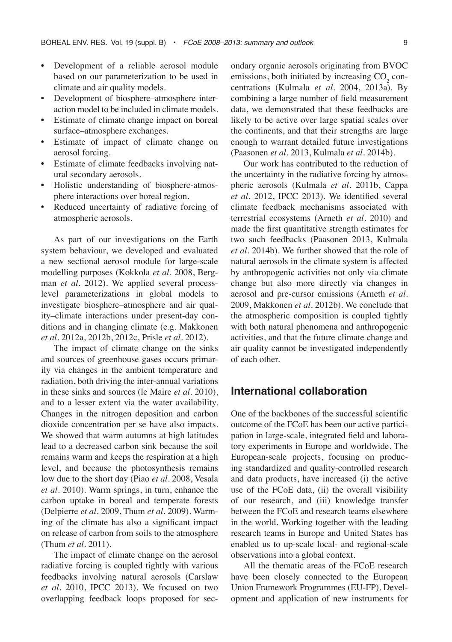- Development of a reliable aerosol module based on our parameterization to be used in climate and air quality models.
- Development of biosphere–atmosphere interaction model to be included in climate models.
- Estimate of climate change impact on boreal surface–atmosphere exchanges.
- Estimate of impact of climate change on aerosol forcing.
- Estimate of climate feedbacks involving natural secondary aerosols.
- Holistic understanding of biosphere-atmosphere interactions over boreal region.
- Reduced uncertainty of radiative forcing of atmospheric aerosols.

As part of our investigations on the Earth system behaviour, we developed and evaluated a new sectional aerosol module for large-scale modelling purposes (Kokkola *et al*. 2008, Bergman *et al*. 2012). We applied several processlevel parameterizations in global models to investigate biosphere–atmosphere and air quality–climate interactions under present-day conditions and in changing climate (e.g. Makkonen *et al*. 2012a, 2012b, 2012c, Prisle *et al*. 2012).

The impact of climate change on the sinks and sources of greenhouse gases occurs primarily via changes in the ambient temperature and radiation, both driving the inter-annual variations in these sinks and sources (le Maire *et al*. 2010), and to a lesser extent via the water availability. Changes in the nitrogen deposition and carbon dioxide concentration per se have also impacts. We showed that warm autumns at high latitudes lead to a decreased carbon sink because the soil remains warm and keeps the respiration at a high level, and because the photosynthesis remains low due to the short day (Piao *et al*. 2008, Vesala *et al*. 2010). Warm springs, in turn, enhance the carbon uptake in boreal and temperate forests (Delpierre *et al*. 2009, Thum *et al*. 2009). Warming of the climate has also a significant impact on release of carbon from soils to the atmosphere (Thum *et al*. 2011).

The impact of climate change on the aerosol radiative forcing is coupled tightly with various feedbacks involving natural aerosols (Carslaw *et al*. 2010, IPCC 2013). We focused on two overlapping feedback loops proposed for secondary organic aerosols originating from BVOC emissions, both initiated by increasing  $CO<sub>2</sub>$  concentrations (Kulmala *et al*. 2004, 2013a). By combining a large number of field measurement data, we demonstrated that these feedbacks are likely to be active over large spatial scales over the continents, and that their strengths are large enough to warrant detailed future investigations (Paasonen *et al*. 2013, Kulmala *et al*. 2014b).

Our work has contributed to the reduction of the uncertainty in the radiative forcing by atmospheric aerosols (Kulmala *et al*. 2011b, Cappa *et al*. 2012, IPCC 2013). We identified several climate feedback mechanisms associated with terrestrial ecosystems (Arneth *et al*. 2010) and made the first quantitative strength estimates for two such feedbacks (Paasonen 2013, Kulmala *et al*. 2014b). We further showed that the role of natural aerosols in the climate system is affected by anthropogenic activities not only via climate change but also more directly via changes in aerosol and pre-cursor emissions (Arneth *et al*. 2009, Makkonen *et al*. 2012b). We conclude that the atmospheric composition is coupled tightly with both natural phenomena and anthropogenic activities, and that the future climate change and air quality cannot be investigated independently of each other.

## **International collaboration**

One of the backbones of the successful scientific outcome of the FCoE has been our active participation in large-scale, integrated field and laboratory experiments in Europe and worldwide. The European-scale projects, focusing on producing standardized and quality-controlled research and data products, have increased (i) the active use of the FCoE data, (ii) the overall visibility of our research, and (iii) knowledge transfer between the FCoE and research teams elsewhere in the world. Working together with the leading research teams in Europe and United States has enabled us to up-scale local- and regional-scale observations into a global context.

All the thematic areas of the FCoE research have been closely connected to the European Union Framework Programmes (EU-FP). Development and application of new instruments for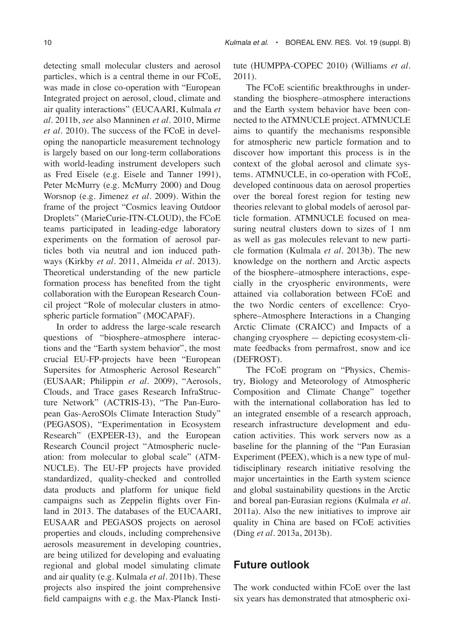detecting small molecular clusters and aerosol particles, which is a central theme in our FCoE, was made in close co-operation with "European Integrated project on aerosol, cloud, climate and air quality interactions" (EUCAARI, Kulmala *et al.* 2011b, *see* also Manninen *et al.* 2010, Mirme *et al.* 2010). The success of the FCoE in developing the nanoparticle measurement technology is largely based on our long-term collaborations with world-leading instrument developers such as Fred Eisele (e.g. Eisele and Tanner 1991), Peter McMurry (e.g. McMurry 2000) and Doug Worsnop (e.g. Jimenez *et al.* 2009). Within the frame of the project "Cosmics leaving Outdoor Droplets" (MarieCurie-ITN-CLOUD), the FCoE teams participated in leading-edge laboratory experiments on the formation of aerosol particles both via neutral and ion induced pathways (Kirkby *et al.* 2011, Almeida *et al.* 2013). Theoretical understanding of the new particle formation process has benefited from the tight collaboration with the European Research Council project "Role of molecular clusters in atmospheric particle formation" (MOCAPAF).

In order to address the large-scale research questions of "biosphere–atmosphere interactions and the "Earth system behavior", the most crucial EU-FP-projects have been "European Supersites for Atmospheric Aerosol Research" (EUSAAR; Philippin *et al.* 2009), "Aerosols, Clouds, and Trace gases Research InfraStructure Network" (ACTRIS-I3), "The Pan-European Gas-AeroSOls Climate Interaction Study" (PEGASOS), "Experimentation in Ecosystem Research" (EXPEER-I3), and the European Research Council project "Atmospheric nucleation: from molecular to global scale" (ATM-NUCLE). The EU-FP projects have provided standardized, quality-checked and controlled data products and platform for unique field campaigns such as Zeppelin flights over Finland in 2013. The databases of the EUCAARI, EUSAAR and PEGASOS projects on aerosol properties and clouds, including comprehensive aerosols measurement in developing countries, are being utilized for developing and evaluating regional and global model simulating climate and air quality (e.g. Kulmala *et al*. 2011b). These projects also inspired the joint comprehensive field campaigns with e.g. the Max-Planck Institute (HUMPPA-COPEC 2010) (Williams *et al.* 2011).

The FCoE scientific breakthroughs in understanding the biosphere–atmosphere interactions and the Earth system behavior have been connected to the ATMNUCLE project. ATMNUCLE aims to quantify the mechanisms responsible for atmospheric new particle formation and to discover how important this process is in the context of the global aerosol and climate systems. ATMNUCLE, in co-operation with FCoE, developed continuous data on aerosol properties over the boreal forest region for testing new theories relevant to global models of aerosol particle formation. ATMNUCLE focused on measuring neutral clusters down to sizes of 1 nm as well as gas molecules relevant to new particle formation (Kulmala *et al.* 2013b). The new knowledge on the northern and Arctic aspects of the biosphere–atmosphere interactions, especially in the cryospheric environments, were attained via collaboration between FCoE and the two Nordic centers of excellence: Cryosphere–Atmosphere Interactions in a Changing Arctic Climate (CRAICC) and Impacts of a changing cryosphere — depicting ecosystem-climate feedbacks from permafrost, snow and ice (DEFROST).

The FCoE program on "Physics, Chemistry, Biology and Meteorology of Atmospheric Composition and Climate Change" together with the international collaboration has led to an integrated ensemble of a research approach, research infrastructure development and education activities. This work servers now as a baseline for the planning of the "Pan Eurasian Experiment (PEEX), which is a new type of multidisciplinary research initiative resolving the major uncertainties in the Earth system science and global sustainability questions in the Arctic and boreal pan-Eurasian regions (Kulmala *et al.* 2011a). Also the new initiatives to improve air quality in China are based on FCoE activities (Ding *et al.* 2013a, 2013b).

## **Future outlook**

The work conducted within FCoE over the last six years has demonstrated that atmospheric oxi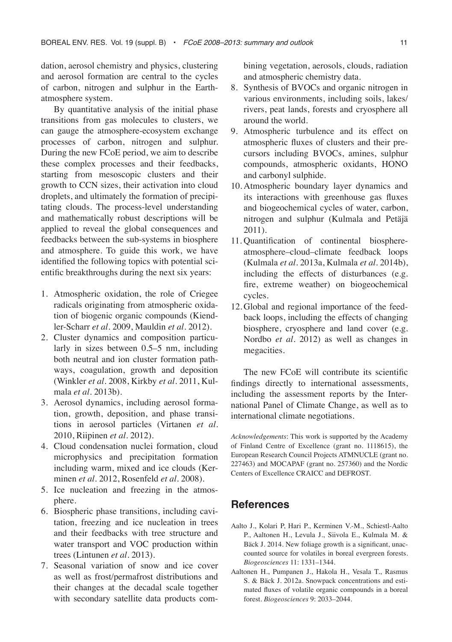dation, aerosol chemistry and physics, clustering and aerosol formation are central to the cycles of carbon, nitrogen and sulphur in the Earthatmosphere system.

By quantitative analysis of the initial phase transitions from gas molecules to clusters, we can gauge the atmosphere-ecosystem exchange processes of carbon, nitrogen and sulphur. During the new FCoE period, we aim to describe these complex processes and their feedbacks, starting from mesoscopic clusters and their growth to CCN sizes, their activation into cloud droplets, and ultimately the formation of precipitating clouds. The process-level understanding and mathematically robust descriptions will be applied to reveal the global consequences and feedbacks between the sub-systems in biosphere and atmosphere. To guide this work, we have identified the following topics with potential scientific breakthroughs during the next six years:

- 1. Atmospheric oxidation, the role of Criegee radicals originating from atmospheric oxidation of biogenic organic compounds (Kiendler-Scharr *et al*. 2009, Mauldin *et al*. 2012).
- 2. Cluster dynamics and composition particularly in sizes between 0.5–5 nm, including both neutral and ion cluster formation pathways, coagulation, growth and deposition (Winkler *et al*. 2008, Kirkby *et al*. 2011, Kulmala *et al*. 2013b).
- 3. Aerosol dynamics, including aerosol formation, growth, deposition, and phase transitions in aerosol particles (Virtanen *et al*. 2010, Riipinen *et al*. 2012).
- 4. Cloud condensation nuclei formation, cloud microphysics and precipitation formation including warm, mixed and ice clouds (Kerminen *et al*. 2012, Rosenfeld *et al*. 2008).
- 5. Ice nucleation and freezing in the atmosphere.
- 6. Biospheric phase transitions, including cavitation, freezing and ice nucleation in trees and their feedbacks with tree structure and water transport and VOC production within trees (Lintunen *et al*. 2013).
- 7. Seasonal variation of snow and ice cover as well as frost/permafrost distributions and their changes at the decadal scale together with secondary satellite data products com-

bining vegetation, aerosols, clouds, radiation and atmospheric chemistry data.

- 8. Synthesis of BVOCs and organic nitrogen in various environments, including soils, lakes/ rivers, peat lands, forests and cryosphere all around the world.
- 9. Atmospheric turbulence and its effect on atmospheric fluxes of clusters and their precursors including BVOCs, amines, sulphur compounds, atmospheric oxidants, HONO and carbonyl sulphide.
- 10. Atmospheric boundary layer dynamics and its interactions with greenhouse gas fluxes and biogeochemical cycles of water, carbon, nitrogen and sulphur (Kulmala and Petäjä 2011).
- 11. Quantification of continental biosphereatmosphere–cloud–climate feedback loops (Kulmala *et al.* 2013a, Kulmala *et al.* 2014b), including the effects of disturbances (e.g. fire, extreme weather) on biogeochemical cycles.
- 12. Global and regional importance of the feedback loops, including the effects of changing biosphere, cryosphere and land cover (e.g. Nordbo *et al.* 2012) as well as changes in megacities.

The new FCoE will contribute its scientific findings directly to international assessments, including the assessment reports by the International Panel of Climate Change, as well as to international climate negotiations.

*Acknowledgements*: This work is supported by the Academy of Finland Centre of Excellence (grant no. 1118615), the European Research Council Projects ATMNUCLE (grant no. 227463) and MOCAPAF (grant no. 257360) and the Nordic Centers of Excellence CRAICC and DEFROST.

## **References**

- Aalto J., Kolari P, Hari P., Kerminen V.-M., Schiestl-Aalto P., Aaltonen H., Levula J., Siivola E., Kulmala M. & Bäck J. 2014. New foliage growth is a significant, unaccounted source for volatiles in boreal evergreen forests. *Biogeosciences* 11: 1331–1344.
- Aaltonen H., Pumpanen J., Hakola H., Vesala T., Rasmus S. & Bäck J. 2012a. Snowpack concentrations and estimated fluxes of volatile organic compounds in a boreal forest. *Biogeosciences* 9: 2033–2044.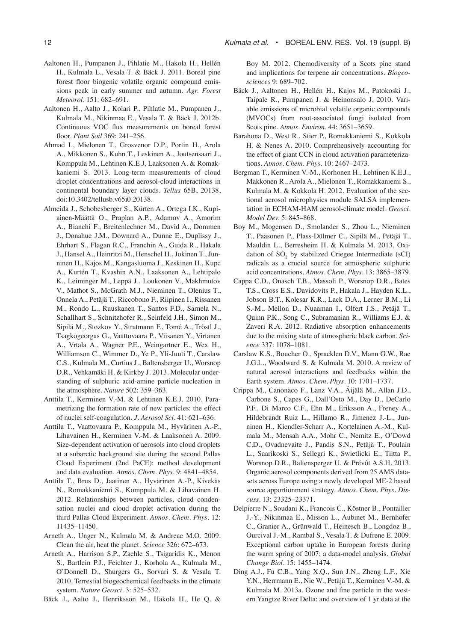- Aaltonen H., Pumpanen J., Pihlatie M., Hakola H., Hellén H., Kulmala L., Vesala T. & Bäck J. 2011. Boreal pine forest floor biogenic volatile organic compound emissions peak in early summer and autumn. *Agr. Forest Meteorol.* 151: 682–691.
- Aaltonen H., Aalto J., Kolari P., Pihlatie M., Pumpanen J., Kulmala M., Nikinmaa E., Vesala T. & Bäck J. 2012b. Continuous VOC flux measurements on boreal forest floor. *Plant Soil* 369: 241–256.
- Ahmad I., Mielonen T., Grosvenor D.P., Portin H., Arola A., Mikkonen S., Kuhn T., Leskinen A., Joutsensaari J., Komppula M., Lehtinen K.E.J, Laaksonen A. & Romakkaniemi S. 2013. Long-term measurements of cloud droplet concentrations and aerosol-cloud interactions in continental boundary layer clouds. *Tellus* 65B, 20138, doi:10.3402/tellusb.v65i0.20138.
- Almeida J., Schobesberger S., Kürten A., Ortega I.K., Kupiainen-Määttä O., Praplan A.P., Adamov A., Amorim A., Bianchi F., Breitenlechner M., David A., Dommen J., Donahue J.M., Downard A., Dunne E., Duplissy J., Ehrhart S., Flagan R.C., Franchin A., Guida R., Hakala J., Hansel A., Heinritzi M., Henschel H., Jokinen T., Junninen H., Kajos M., Kangasluoma J., Keskinen H., Kupc A., Kurtén T., Kvashin A.N., Laaksonen A., Lehtipalo K., Leiminger M., Leppä J., Loukonen V., Makhmutov V., Mathot S., McGrath M.J., Nieminen T., Olenius T., Onnela A., Petäjä T., Riccobono F., Riipinen I., Rissanen M., Rondo L., Ruuskanen T., Santos F.D., Sarnela N., Schallhart S., Schnitzhofer R., Seinfeld J.H., Simon M., Sipilä M., Stozkov Y., Stratmann F., Tomé A., Tröstl J., Tsagkogeorgas G., Vaattovaara P., Viisanen Y., Virtanen A., Vrtala A., Wagner P.E., Weingartner E., Wex H., Williamson C., Wimmer D., Ye P., Yli-Juuti T., Carslaw C.S., Kulmala M., Curtius J., Baltensberger U., Worsnop D.R., Vehkamäki H. & Kirkby J. 2013. Molecular understanding of sulphuric acid-amine particle nucleation in the atmosphere. *Nature* 502: 359–363.
- Anttila T., Kerminen V.-M. & Lehtinen K.E.J. 2010. Parametrizing the formation rate of new particles: the effect of nuclei self-coagulation. *J. Aerosol Sci.* 41: 621–636.
- Anttila T., Vaattovaara P., Komppula M., Hyvärinen A.-P., Lihavainen H., Kerminen V.-M. & Laaksonen A. 2009. Size-dependent activation of aerosols into cloud droplets at a subarctic background site during the second Pallas Cloud Experiment (2nd PaCE): method development and data evaluation. *Atmos. Chem. Phys.* 9: 4841–4854.
- Anttila T., Brus D., Jaatinen A., Hyvärinen A.-P., Kivekäs N., Romakkaniemi S., Komppula M. & Lihavainen H. 2012. Relationships between particles, cloud condensation nuclei and cloud droplet activation during the third Pallas Cloud Experiment. *Atmos. Chem. Phys.* 12: 11435–11450.
- Arneth A., Unger N., Kulmala M. & Andreae M.O. 2009. Clean the air, heat the planet. *Science* 326: 672–673.
- Arneth A., Harrison S.P., Zaehle S., Tsigaridis K., Menon S., Bartlein P.J., Feichter J., Korhola A., Kulmala M., O'Donnell D., Shurgers G., Sorvari S. & Vesala T. 2010. Terrestial biogeochemical feedbacks in the climate system. *Nature Geosci.* 3: 525–532.

Bäck J., Aalto J., Henriksson M., Hakola H., He Q. &

Boy M. 2012. Chemodiversity of a Scots pine stand and implications for terpene air concentrations. *Biogeosciences* 9: 689–702.

- Bäck J., Aaltonen H., Hellén H., Kajos M., Patokoski J., Taipale R., Pumpanen J. & Heinonsalo J. 2010. Variable emissions of microbial volatile organic compounds (MVOCs) from root-associated fungi isolated from Scots pine. *Atmos. Environ.* 44: 3651–3659.
- Barahona D., West R., Stier P., Romakkaniemi S., Kokkola H. & Nenes A. 2010. Comprehensively accounting for the effect of giant CCN in cloud activation parameterizations. *Atmos. Chem. Phys*. 10: 2467–2473.
- Bergman T., Kerminen V.-M., Korhonen H., Lehtinen K.E.J., Makkonen R., Arola A., Mielonen T., Romakkaniemi S., Kulmala M. & Kokkola H. 2012. Evaluation of the sectional aerosol microphysics module SALSA implementation in ECHAM-HAM aerosol-climate model. *Geosci. Model Dev.* 5: 845–868.
- Boy M., Mogensen D., Smolander S., Zhou L., Nieminen T., Paasonen P., Plass-Dülmer C., Sipilä M., Petäjä T., Mauldin L., Berresheim H. & Kulmala M. 2013. Oxidation of  $SO_2$  by stabilized Criegee Intermediate (sCI) radicals as a crucial source for atmospheric sulphuric acid concentrations. *Atmos. Chem. Phys*. 13: 3865–3879.
- Cappa C.D., Onasch T.B., Massoli P., Worsnop D.R., Bates T.S., Cross E.S., Davidovits P., Hakala J., Hayden K.L., Jobson B.T., Kolesar K.R., Lack D.A., Lerner B.M., Li S.-M., Mellon D., Nuaaman I., Olfert J.S., Petäjä T., Quinn P.K., Song C., Subramanian R., Williams E.J. & Zaveri R.A. 2012. Radiative absorption enhancements due to the mixing state of atmospheric black carbon. *Science* 337: 1078–1081.
- Carslaw K.S., Boucher O., Spracklen D.V., Mann G.W., Rae J.G.L., Woodward S. & Kulmala M. 2010. A review of natural aerosol interactions and feedbacks within the Earth system. *Atmos. Chem. Phys.* 10: 1701–1737.
- Crippa M., Canonaco F., Lanz V.A., Äijälä M., Allan J.D., Carbone S., Capes G., Dall'Osto M., Day D., DeCarlo P.F., Di Marco C.F., Ehn M., Eriksson A., Freney A., Hildebrandt Ruiz L., Hillamo R., Jimenez J.-L., Junninen H., Kiendler-Scharr A., Kortelainen A.-M., Kulmala M., Mensah A.A., Mohr C., Nemitz E., O'Dowd C.D., Ovadnevaite J., Pandis S.N., Petäjä T., Poulain L., Saarikoski S., Sellegri K., Swietlicki E., Tiitta P., Worsnop D.R., Baltensperger U. & Prévôt A.S.H. 2013. Organic aerosol components derived from 25 AMS datasets across Europe using a newly developed ME-2 based source apportionment strategy. *Atmos. Chem. Phys. Discuss.* 13: 23325–23371.
- Delpierre N., Soudani K., Francois C., Köstner B., Pontailler J.-Y., Nikinmaa E., Misson L., Aubinet M., Bernhofer C., Granier A., Grünwald T., Heinesch B., Longdoz B., Ourcival J.-M., Rambal S., Vesala T. & Dufrene E. 2009. Exceptional carbon uptake in European forests during the warm spring of 2007: a data-model analysis. *Global Change Biol*. 15: 1455–1474.
- Ding A.J., Fu C.B., Yang X.Q., Sun J.N., Zheng L.F., Xie Y.N., Herrmann E., Nie W., Petäjä T., Kerminen V.-M. & Kulmala M. 2013a. Ozone and fine particle in the western Yangtze River Delta: and overview of 1 yr data at the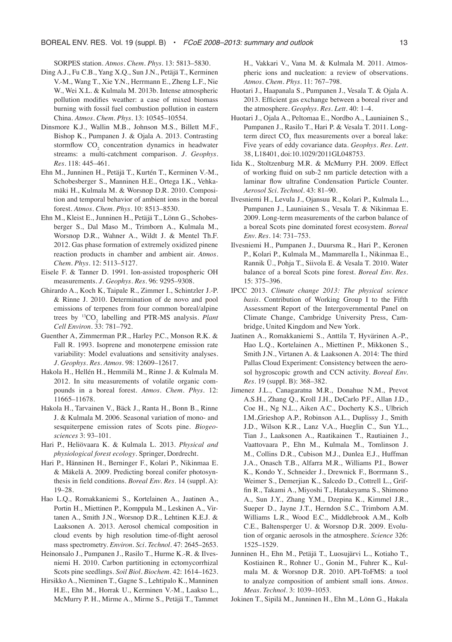SORPES station. *Atmos. Chem. Phys.* 13: 5813–5830.

- Ding A.J., Fu C.B., Yang X.Q., Sun J.N., Petäjä T., Kerminen V.-M., Wang T., Xie Y.N., Herrmann E., Zheng L.F., Nie W., Wei X.L. & Kulmala M. 2013b. Intense atmospheric pollution modifies weather: a case of mixed biomass burning with fossil fuel combustion pollution in eastern China. *Atmos. Chem. Phys.* 13: 10545–10554.
- Dinsmore K.J., Wallin M.B., Johnson M.S., Billett M.F., Bishop K., Pumpanen J. & Ojala A. 2013. Contrasting stormflow  $CO<sub>2</sub>$  concentration dynamics in headwater streams: a multi-catchment comparison. *J. Geophys. Res.* 118: 445–461.
- Ehn M., Junninen H., Petäjä T., Kurtén T., Kerminen V.-M., Schobesberger S., Manninen H.E., Ortega I.K., Vehkamäki H., Kulmala M. & Worsnop D.R. 2010. Composition and temporal behavior of ambient ions in the boreal forest. *Atmos. Chem. Phys.* 10: 8513–8530.
- Ehn M., Kleist E., Junninen H., Petäjä T., Lönn G., Schobesberger S., Dal Maso M., Trimborn A., Kulmala M., Worsnop D.R., Wahner A., Wildt J. & Mentel Th.F. 2012. Gas phase formation of extremely oxidized pinene reaction products in chamber and ambient air. *Atmos. Chem. Phys.* 12: 5113–5127.
- Eisele F. & Tanner D. 1991. Ion-assisted tropospheric OH measurements. *J. Geophys. Res.* 96: 9295–9308.
- Ghirardo A., Koch K, Taipale R., Zimmer I., Schintzler J.-P. & Rinne J. 2010. Determination of de novo and pool emissions of terpenes from four common boreal/alpine trees by <sup>13</sup>CO<sub>2</sub> labelling and PTR-MS analysis. *Plant Cell Environ*. 33: 781–792.
- Guenther A, Zimmerman P.R., Harley P.C., Monson R.K. & Fall R. 1993. Isoprene and monoterpene emission rate variability: Model evaluations and sensitivity analyses. *J. Geophys. Res. Atmos*. 98: 12609–12617.
- Hakola H., Hellén H., Hemmilä M., Rinne J. & Kulmala M. 2012. In situ measurements of volatile organic compounds in a boreal forest. *Atmos. Chem. Phys.* 12: 11665–11678.
- Hakola H., Tarvainen V., Bäck J., Ranta H., Bonn B., Rinne J. & Kulmala M. 2006. Seasonal variation of mono- and sesquiterpene emission rates of Scots pine. *Biogeosciences* 3: 93–101.
- Hari P., Heliövaara K. & Kulmala L. 2013. *Physical and physiological forest ecology*. Springer, Dordrecht.
- Hari P., Hänninen H., Berninger F., Kolari P., Nikinmaa E. & Mäkelä A. 2009. Predicting boreal conifer photosynthesis in field conditions. *Boreal Env. Res.* 14 (suppl. A): 19–28.
- Hao L.Q., Romakkaniemi S., Kortelainen A., Jaatinen A., Portin H., Miettinen P., Komppula M., Leskinen A., Virtanen A., Smith J.N., Worsnop D.R., Lehtinen K.E.J. & Laaksonen A. 2013. Aerosol chemical composition in cloud events by high resolution time-of-flight aerosol mass spectrometry. *Environ. Sci. Technol*. 47: 2645–2653.
- Heinonsalo J., Pumpanen J., Rasilo T., Hurme K.-R. & Ilvesniemi H. 2010. Carbon partitioning in ectomycorrhizal Scots pine seedlings. *Soil Biol. Biochem.* 42: 1614–1623.
- Hirsikko A., Nieminen T., Gagne S., Lehtipalo K., Manninen H.E., Ehn M., Horrak U., Kerminen V.-M., Laakso L., McMurry P. H., Mirme A., Mirme S., Petäjä T., Tammet

H., Vakkari V., Vana M. & Kulmala M. 2011. Atmospheric ions and nucleation: a review of observations. *Atmos. Chem. Phys.* 11: 767–798.

- Huotari J., Haapanala S., Pumpanen J., Vesala T. & Ojala A. 2013. Efficient gas exchange between a boreal river and the atmosphere. *Geophys. Res. Lett*. 40: 1–4.
- Huotari J., Ojala A., Peltomaa E., Nordbo A., Launiainen S., Pumpanen J., Rasilo T., Hari P. & Vesala T. 2011. Longterm direct  $CO_2$  flux measurements over a boreal lake: Five years of eddy covariance data. *Geophys. Res. Lett*. 38, L18401, doi:10.1029/2011GL048753.
- Iida K., Stoltzenburg M.R. & McMurry P.H. 2009. Effect of working fluid on sub-2 nm particle detection with a laminar flow ultrafine Condensation Particle Counter. *Aerosol Sci. Technol*. 43: 81–90.
- Ilvesniemi H., Levula J., Ojansuu R., Kolari P., Kulmala L., Pumpanen J., Launiainen S., Vesala T. & Nikinmaa E. 2009. Long-term measurements of the carbon balance of a boreal Scots pine dominated forest ecosystem. *Boreal Env. Res.* 14: 731–753.
- Ilvesniemi H., Pumpanen J., Duursma R., Hari P., Keronen P., Kolari P., Kulmala M., Mammarella I., Nikinmaa E., Rannik Ü., Pohja T., Siivola E. & Vesala T. 2010. Water balance of a boreal Scots pine forest. *Boreal Env. Res.* 15: 375–396.
- IPCC 2013. *Climate change 2013: The physical science basis.* Contribution of Working Group I to the Fifth Assessment Report of the Intergovernmental Panel on Climate Change, Cambridge University Press, Cambridge, United Kingdom and New York.
- Jaatinen A., Romakkaniemi S., Anttila T, Hyvärinen A.-P., Hao L.Q., Kortelainen A., Miettinen P., Mikkonen S., Smith J.N., Virtanen A. & Laaksonen A. 2014: The third Pallas Cloud Experiment: Consistency between the aerosol hygroscopic growth and CCN activity. *Boreal Env. Res.* 19 (suppl. B): 368–382.
- Jimenez J.L., Canagaratna M.R., Donahue N.M., Prevot A.S.H., Zhang Q., Kroll J.H., DeCarlo P.F., Allan J.D., Coe H., Ng N.L., Aiken A.C., Docherty K.S., Ulbrich I.M.,Grieshop A.P., Robinson A.L., Duplissy J., Smith J.D., Wilson K.R., Lanz V.A., Hueglin C., Sun Y.L., Tian J., Laaksonen A., Raatikainen T., Rautiainen J., Vaattovaara P., Ehn M., Kulmala M., Tomlinson J. M., Collins D.R., Cubison M.J., Dunlea E.J., Huffman J.A., Onasch T.B., Alfarra M.R., Williams P.I., Bower K., Kondo Y., Schneider J., Drewnick F., Borrmann S., Weimer S., Demerjian K., Salcedo D., Cottrell L., Griffin R., Takami A., Miyoshi T., Hatakeyama S., Shimono A., Sun J.Y., Zhang Y.M., Dzepina K., Kimmel J.R., Sueper D., Jayne J.T., Herndon S.C., Trimborn A.M. Williams L.R., Wood E.C., Middlebrook A.M., Kolb C.E., Baltensperger U. & Worsnop D.R. 2009. Evolution of organic aerosols in the atmosphere. *Science* 326: 1525–1529.
- Junninen H., Ehn M., Petäjä T., Luosujärvi L., Kotiaho T., Kostiainen R., Rohner U., Gonin M., Fuhrer K., Kulmala M. & Worsnop D.R. 2010. API-ToFMS: a tool to analyze composition of ambient small ions. *Atmos. Meas. Technol.* 3: 1039–1053.
- Jokinen T., Sipilä M., Junninen H., Ehn M., Lönn G., Hakala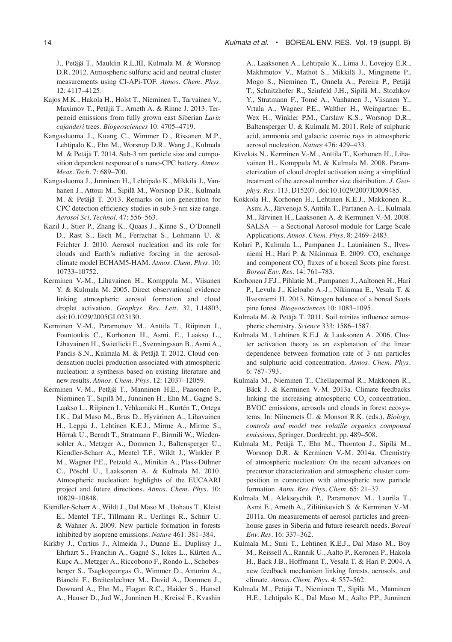J., Petäjä T., Mauldin R.L.III, Kulmala M. & Worsnop D.R. 2012. Atmospheric sulfuric acid and neutral cluster measurements using CI-APi-TOF. *Atmos. Chem. Phys.* 12: 4117–4125.

- Kajos M.K., Hakola H., Holst T., Nieminen T., Tarvainen V., Maximov T., Petäjä T., Arneth A. & Rinne J. 2013. Terpenoid emissions from fully grown east Siberian *Larix cajanderi* trees. *Biogeosciences* 10: 4705–4719.
- Kangasluoma J., Kuang C., Wimmer D., Rissanen M.P., Lehtipalo K., Ehn M., Worsnop D.R., Wang J., Kulmala M. & Petäjä T. 2014. Sub-3 nm particle size and composition dependent response of a nano-CPC battery. *Atmos. Meas. Tech.* 7: 689–700.
- Kangasluoma J., Junninen H., Lehtipalo K., Mikkilä J., Vanhanen J., Attoui M., Sipilä M., Worsnop D.R., Kulmala M. & Petäjä T. 2013. Remarks on ion generation for CPC detection efficiency studies in sub-3-nm size range. *Aerosol Sci. Technol.* 47: 556–563.
- Kazil J., Stier P., Zhang K., Quaas J., Kinne S., O'Donnell D., Rast S., Esch M., Ferrachat S., Lohmann U. & Feichter J. 2010. Aerosol nucleation and its role for clouds and Earth's radiative forcing in the aerosolclimate model ECHAM5-HAM. *Atmos. Chem. Phys.* 10: 10733–10752.
- Kerminen V.-M., Lihavainen H., Komppula M., Viisanen Y. & Kulmala M. 2005. Direct observational evidence linking atmospheric aerosol formation and cloud droplet activation. *Geophys. Res. Lett.* 32, L14803, doi:10.1029/2005GL023130.
- Kerminen V.-M., Paramonov M., Anttila T., Riipinen I., Fountoukis C., Korhonen H., Asmi, E., Laakso L., Lihavainen H., Swietlicki E., Svenningsson B., Asmi A., Pandis S.N., Kulmala M. & Petäjä T. 2012. Cloud condensation nuclei production associated with atmospheric nucleation: a synthesis based on existing literature and new results. *Atmos. Chem. Phys.* 12: 12037–12059.
- Kerminen V.-M., Petäjä T., Manninen H.E., Paasonen P., Nieminen T., Sipilä M., Junninen H., Ehn M., Gagné S, Laakso L., Riipinen I., Vehkamäki H., Kurtén T., Ortega I.K., Dal Maso M., Brus D., Hyvärinen A., Lihavainen H., Leppä J., Lehtinen K.E.J., Mirme A., Mirme S., Hõrrak U., Berndt T., Stratmann F., Birmili W., Wiedensohler A., Metzger A., Dommen J., Baltensperger U., Kiendler-Scharr A., Mentel T.F., Wildt J., Winkler P. M., Wagner P.E., Petzold A., Minikin A., Plass-Dülmer C., Pöschl U., Laaksonen A. & Kulmala M. 2010. Atmospheric nucleation: highlights of the EUCAARI project and future directions. *Atmos. Chem. Phys.* 10: 10829–10848.
- Kiendler-Scharr A., Wildt J., Dal Maso M., Hohaus T., Kleist E., Mentel T.F., Tillmann R., Uerlings R., Schurr U. & Wahner A. 2009. New particle formation in forests inhibited by isoprene emissions. *Nature* 461: 381–384.
- Kirkby J., Curtius J., Almeida J., Dunne E., Duplissy J., Ehrhart S., Franchin A., Gagné S., Ickes L., Kürten A., Kupc A., Metzger A., Riccobono F., Rondo L., Schobesberger S., Tsagkogeorgas G., Wimmer D., Amorim A., Bianchi F., Breitenlechner M., David A., Dommen J., Downard A., Ehn M., Flagan R.C., Haider S., Hansel A., Hauser D., Jud W., Junninen H., Kreissl F., Kvashin

A., Laaksonen A., Lehtipalo K., Lima J., Lovejoy E.R., Makhmutov V., Mathot S., Mikkilä J., Minginette P., Mogo S., Nieminen T., Onnela A., Pereira P., Petäjä T., Schnitzhofer R., Seinfeld J.H., Sipilä M., Stozhkov Y., Stratmann F., Tomé A., Vanhanen J., Viisanen Y., Vrtala A., Wagner P.E., Walther H., Weingartner E., Wex H., Winkler P.M., Carslaw K.S., Worsnop D.R., Baltensperger U. & Kulmala M. 2011. Role of sulphuric acid, ammonia and galactic cosmic rays in atmospheric aerosol nucleation. *Nature* 476: 429–433.

- Kivekäs N., Kerminen V.-M., Anttila T., Korhonen H., Lihavainen H., Komppula M. & Kulmala M. 2008. Parameterization of cloud droplet activation using a simplified treatment of the aerosol number size distribution. *J. Geophys. Res.* 113, D15207, doi:10.1029/2007JD009485.
- Kokkola H., Korhonen H., Lehtinen K.E.J., Makkonen R., Asmi A., Järvenoja S, Anttila T., Partanen A.-I., Kulmala M., Järvinen H., Laaksonen A. & Kerminen V.-M. 2008. SALSA — a Sectional Aerosol module for Large Scale Applications. *Atmos. Chem. Phys.* 8: 2469–2483.
- Kolari P., Kulmala L., Pumpanen J., Launiainen S., Ilvesniemi H., Hari P. & Nikinmaa E. 2009. CO<sub>2</sub> exchange and component  $CO_2$  fluxes of a boreal Scots pine forest. *Boreal Env. Res.* 14: 761–783.
- Korhonen J.F.J., Pihlatie M., Pumpanen J., Aaltonen H., Hari P., Levula J., Kieloaho A.-J., Nikinmaa E., Vesala T. & Ilvesniemi H. 2013. Nitrogen balance of a boreal Scots pine forest. *Biogeosciences* 10: 1083–1095.
- Kulmala M. & Petäjä T. 2011. Soil nitrites influence atmospheric chemistry. *Science* 333: 1586–1587.
- Kulmala M., Lehtinen K.E.J. & Laaksonen A. 2006. Cluster activation theory as an explanation of the linear dependence between formation rate of 3 nm particles and sulphuric acid concentration. *Atmos. Chem. Phys.* 6: 787–793.
- Kulmala M., Nieminen T., Chellapermal R., Makkonen R., Bäck J. & Kerminen V.-M. 2013a. Climate feedbacks linking the increasing atmospheric  $CO<sub>2</sub>$  concentration, BVOC emissions, aerosols and clouds in forest ecosystems. In: Niinemets Ü. & Monson R.K. (eds.), *Biology, controls and model tree volatile organics compound emissions*, Springer, Dordrecht, pp. 489–508.
- Kulmala M., Petäjä T., Ehn M., Thornton J., Sipilä M., Worsnop D.R. & Kerminen V.-M. 2014a. Chemistry of atmospheric nucleation: On the recent advances on precursor characterization and atmospheric cluster composition in connection with atmospheric new particle formation. *Annu. Rev. Phys. Chem.* 65: 21–37.
- Kulmala M., Alekseychik P., Paramonov M., Laurila T., Asmi E., Arneth A., Zilitinkevich S. & Kerminen V.-M. 2011a. On measurements of aerosol particles and greenhouse gases in Siberia and future research needs. *Boreal Env. Res*. 16: 337–362.
- Kulmala M., Suni T., Lehtinen K.E.J., Dal Maso M., Boy M., Reissell A., Rannik U., Aalto P., Keronen P., Hakola H., Back J.B., Hoffmann T., Vesala T. & Hari P. 2004. A new feedback mechanism linking forests, aerosols, and climate. *Atmos. Chem. Phys.* 4: 557–562.
- Kulmala M., Petäjä T., Nieminen T., Sipilä M., Manninen H.E., Lehtipalo K., Dal Maso M., Aalto P.P., Junninen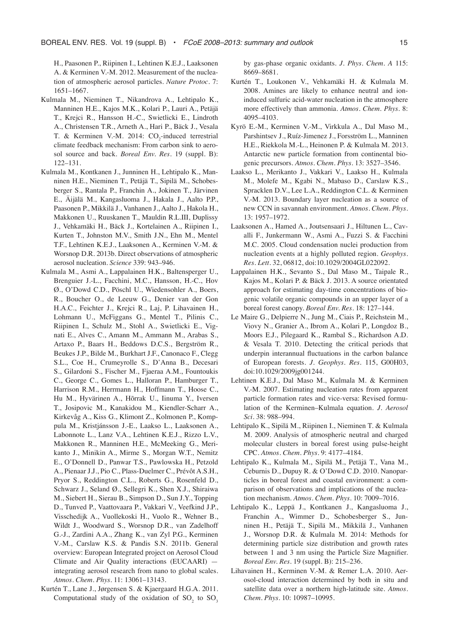H., Paasonen P., Riipinen I., Lehtinen K.E.J., Laaksonen A. & Kerminen V.-M. 2012. Measurement of the nucleation of atmospheric aerosol particles. *Nature Protoc.* 7: 1651–1667.

- Kulmala M., Nieminen T., Nikandrova A., Lehtipalo K., Manninen H.E., Kajos M.K., Kolari P., Lauri A., Petäjä T., Krejci R., Hansson H.-C., Swietlicki E., Lindroth A., Christensen T.R., Arneth A., Hari P., Bäck J., Vesala T. & Kerminen V.-M. 2014:  $CO_2$ -induced terrestrial climate feedback mechanism: From carbon sink to aerosol source and back. *Boreal Env. Res.* 19 (suppl. B): 122–131.
- Kulmala M., Kontkanen J., Junninen H., Lehtipalo K., Manninen H.E., Nieminen T., Petäjä T., Sipilä M., Schobesberger S., Rantala P., Franchin A., Jokinen T., Järvinen E., Äijälä M., Kangasluoma J., Hakala J., Aalto P.P., Paasonen P., Mikkilä J., Vanhanen J., Aalto J., Hakola H., Makkonen U., Ruuskanen T., Mauldin R.L.III, Duplissy J., Vehkamäki H., Bäck J., Kortelainen A., Riipinen I., Kurten T., Johnston M.V., Smith J.N., Ehn M., Mentel T.F., Lehtinen K.E.J., Laaksonen A., Kerminen V.-M. & Worsnop D.R. 2013b. Direct observations of atmospheric aerosol nucleation. *Science* 339: 943–946.
- Kulmala M., Asmi A., Lappalainen H.K., Baltensperger U., Brenguier J.-L., Facchini, M.C., Hansson, H.-C., Hov Ø., O'Dowd C.D., Pöschl U., Wiedensohler A., Boers, R., Boucher O., de Leeuw G., Denier van der Gon H.A.C., Feichter J., Krejci R., Laj, P. Lihavainen H., Lohmann U., McFiggans G., Mentel T., Pilinis C., Riipinen I., Schulz M., Stohl A., Swietlicki E., Vignati E., Alves C., Amann M., Ammann M., Arabas S., Artaxo P., Baars H., Beddows D.C.S., Bergström R., Beukes J.P., Bilde M., Burkhart J.F., Canonaco F., Clegg S.L., Coe H., Crumeyrolle S., D'Anna B., Decesari S., Gilardoni S., Fischer M., Fjaeraa A.M., Fountoukis C., George C., Gomes L., Halloran P., Hamburger T., Harrison R.M., Herrmann H., Hoffmann T., Hoose C., Hu M., Hyvärinen A., Hõrrak U., Iinuma Y., Iversen T., Josipovic M., Kanakidou M., Kiendler-Scharr A., Kirkevåg A., Kiss G., Klimont Z., Kolmonen P., Komppula M., Kristjánsson J.-E., Laakso L., Laaksonen A., Labonnote L., Lanz V.A., Lehtinen K.E.J., Rizzo L.V., Makkonen R., Manninen H.E., McMeeking G., Merikanto J., Minikin A., Mirme S., Morgan W.T., Nemitz E., O'Donnell D., Panwar T.S., Pawlowska H., Petzold A., Pienaar J.J., Pio C., Plass-Duelmer C., Prévôt A.S.H., Pryor S., Reddington C.L., Roberts G., Rosenfeld D., Schwarz J., Seland Ø., Sellegri K., Shen X.J., Shiraiwa M., Siebert H., Sierau B., Simpson D., Sun J.Y., Topping D., Tunved P., Vaattovaara P., Vakkari V., Veefkind J.P., Visschedijk A., Vuollekoski H., Vuolo R., Wehner B., Wildt J., Woodward S., Worsnop D.R., van Zadelhoff G.-J., Zardini A.A., Zhang K., van Zyl P.G., Kerminen V.-M., Carslaw K.S. & Pandis S.N. 2011b. General overview: European Integrated project on Aerosol Cloud Climate and Air Quality interactions (EUCAARI) integrating aerosol research from nano to global scales. *Atmos. Chem. Phys.* 11: 13061–13143.
- Kurtén T., Lane J., Jørgensen S. & Kjaergaard H.G.A. 2011. Computational study of the oxidation of  $SO_2$  to  $SO_3$

by gas-phase organic oxidants. *J. Phys. Chem. A* 115: 8669–8681.

- Kurtén T., Loukonen V., Vehkamäki H. & Kulmala M. 2008. Amines are likely to enhance neutral and ioninduced sulfuric acid-water nucleation in the atmosphere more effectively than ammonia. *Atmos. Chem. Phys.* 8: 4095–4103.
- Kyrö E.-M., Kerminen V.-M., Virkkula A., Dal Maso M., Parshintsev J., Ruíz-Jimenez J., Forsström L., Manninen H.E., Riekkola M.-L., Heinonen P. & Kulmala M. 2013. Antarctic new particle formation from continental biogenic precursors. *Atmos. Chem. Phys*. 13: 3527–3546.
- Laakso L., Merikanto J., Vakkari V., Laakso H., Kulmala M., Molefe M., Kgabi N., Mabaso D., Carslaw K.S., Spracklen D.V., Lee L.A., Reddington C.L. & Kerminen V.-M. 2013. Boundary layer nucleation as a source of new CCN in savannah environment. *Atmos. Chem. Phys.* 13: 1957–1972.
- Laaksonen A., Hamed A., Joutsensaari J., Hiltunen L., Cavalli F., Junkermann W., Asmi A., Fuzzi S. & Facchini M.C. 2005. Cloud condensation nuclei production from nucleation events at a highly polluted region. *Geophys. Res. Lett.* 32, 06812, doi:10.1029/2004GL022092.
- Lappalainen H.K., Sevanto S., Dal Maso M., Taipale R., Kajos M., Kolari P. & Bäck J. 2013. A source orientated approach for estimating day-time concentrations of biogenic volatile organic compounds in an upper layer of a boreal forest canopy. *Boreal Env. Res.* 18: 127–144.
- Le Maire G., Delpierre N., Jung M., Ciais P., Reichstein M., Viovy N., Granier A., Ibrom A., Kolari P., Longdoz B., Moors E.J., Pilegaard K., Rambal S., Richardson A.D. & Vesala T. 2010. Detecting the critical periods that underpin interannual fluctuations in the carbon balance of European forests. *J. Geophys. Res.* 115, G00H03, doi:10.1029/2009jg001244.
- Lehtinen K.E.J., Dal Maso M., Kulmala M. & Kerminen V.-M. 2007. Estimating nucleation rates from apparent particle formation rates and vice-versa: Revised formulation of the Kerminen–Kulmala equation. *J. Aerosol Sci.* 38: 988–994.
- Lehtipalo K., Sipilä M., Riipinen I., Nieminen T. & Kulmala M. 2009. Analysis of atmospheric neutral and charged molecular clusters in boreal forest using pulse-height CPC. *Atmos. Chem. Phys.* 9: 4177–4184.
- Lehtipalo K., Kulmala M., Sipilä M., Petäjä T., Vana M., Ceburnis D., Dupuy R. & O'Dowd C.D. 2010. Nanoparticles in boreal forest and coastal environment: a comparison of observations and implications of the nucleation mechanism. *Atmos. Chem. Phys.* 10: 7009–7016.
- Lehtipalo K., Leppä J., Kontkanen J., Kangasluoma J., Franchin A., Wimmer D., Schobesberger S., Junninen H., Petäjä T., Sipilä M., Mikkilä J., Vanhanen J., Worsnop D.R. & Kulmala M. 2014: Methods for determining particle size distribution and growth rates between 1 and 3 nm using the Particle Size Magnifier. *Boreal Env. Res.* 19 (suppl. B): 215–236.
- Lihavainen H., Kerminen V.-M. & Remer L.A. 2010. Aerosol-cloud interaction determined by both in situ and satellite data over a northern high-latitude site. *Atmos. Chem. Phys.* 10: 10987–10995.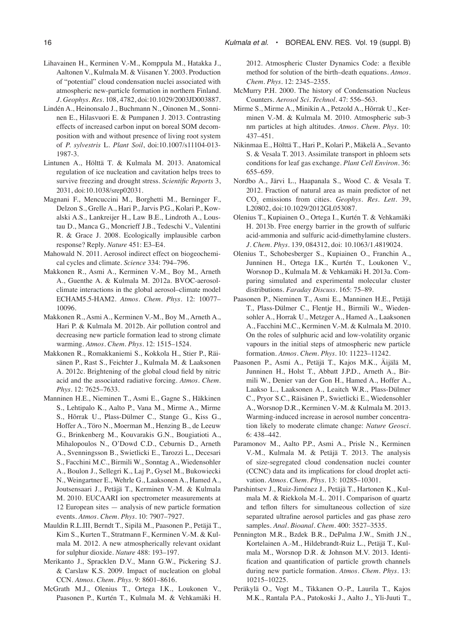- Lihavainen H., Kerminen V.-M., Komppula M., Hatakka J., Aaltonen V., Kulmala M. & Viisanen Y. 2003. Production of "potential" cloud condensation nuclei associated with atmospheric new-particle formation in northern Finland. *J. Geophys. Res.* 108, 4782, doi:10.1029/2003JD003887.
- Lindén A., Heinonsalo J., Buchmann N., Oinonen M., Sonninen E., Hilasvuori E. & Pumpanen J. 2013. Contrasting effects of increased carbon input on boreal SOM decomposition with and without presence of living root system of *P. sylvestris* L. *Plant Soil*, doi:10.1007/s11104-013- 1987-3.
- Lintunen A., Hölttä T. & Kulmala M. 2013. Anatomical regulation of ice nucleation and cavitation helps trees to survive freezing and drought stress. *Scientific Reports* 3, 2031, doi:10.1038/srep02031.
- Magnani F., Mencuccini M., Borghetti M., Berninger F., Delzon S., Grelle A., Hari P., Jarvis P.G., Kolari P., Kowalski A.S., Lankreijer H., Law B.E., Lindroth A., Loustau D., Manca G., Moncrieff J.B., Tedeschi V., Valentini R. & Grace J. 2008. Ecologically implausible carbon response? Reply. *Nature* 451: E3–E4.
- Mahowald N. 2011. Aerosol indirect effect on biogeochemical cycles and climate. *Science* 334: 794–796.
- Makkonen R., Asmi A., Kerminen V.-M., Boy M., Arneth A., Guenthe A. & Kulmala M. 2012a. BVOC-aerosolclimate interactions in the global aerosol–climate model ECHAM5.5-HAM2. *Atmos. Chem. Phys.* 12: 10077– 10096.
- Makkonen R., Asmi A., Kerminen V.-M., Boy M., Arneth A., Hari P. & Kulmala M. 2012b. Air pollution control and decreasing new particle formation lead to strong climate warming. *Atmos. Chem. Phys.* 12: 1515–1524.
- Makkonen R., Romakkaniemi S., Kokkola H., Stier P., Räisänen P., Rast S., Feichter J., Kulmala M. & Laaksonen A. 2012c. Brightening of the global cloud field by nitric acid and the associated radiative forcing. *Atmos. Chem. Phys.* 12: 7625–7633.
- Manninen H.E., Nieminen T., Asmi E., Gagne S., Häkkinen S., Lehtipalo K., Aalto P., Vana M., Mirme A., Mirme S., Hõrrak U., Plass-Dülmer C., Stange G., Kiss G., Hoffer A., Töro N., Moerman M., Henzing B., de Leeuw G., Brinkenberg M., Kouvarakis G.N., Bougiatioti A., Mihalopoulos N., O'Dowd C.D., Ceburnis D., Arneth A., Svenningsson B., Swietlicki E., Tarozzi L., Decesari S., Facchini M.C., Birmili W., Sonntag A., Wiedensohler A., Boulon J., Sellegri K., Laj P., Gysel M., Bukowiecki N., Weingartner E., Wehrle G., Laaksonen A., Hamed A., Joutsensaari J., Petäjä T., Kerminen V.-M. & Kulmala M. 2010. EUCAARI ion spectrometer measurements at 12 European sites — analysis of new particle formation events. *Atmos. Chem. Phys.* 10: 7907–7927.
- Mauldin R.L.III, Berndt T., Sipilä M., Paasonen P., Petäjä T., Kim S., Kurten T., Stratmann F., Kerminen V.-M. & Kulmala M. 2012. A new atmospherically relevant oxidant for sulphur dioxide. *Nature* 488: 193–197.
- Merikanto J., Spracklen D.V., Mann G.W., Pickering S.J. & Carslaw K.S. 2009. Impact of nucleation on global CCN. *Atmos. Chem. Phys.* 9: 8601–8616.
- McGrath M.J., Olenius T., Ortega I.K., Loukonen V., Paasonen P., Kurtén T., Kulmala M. & Vehkamäki H.

2012. Atmospheric Cluster Dynamics Code: a flexible method for solution of the birth–death equations. *Atmos. Chem. Phys.* 12: 2345–2355.

- McMurry P.H. 2000. The history of Condensation Nucleus Counters. *Aerosol Sci. Technol.* 47: 556–563.
- Mirme S., Mirme A., Minikin A., Petzold A., Hõrrak U., Kerminen V.-M. & Kulmala M. 2010. Atmospheric sub-3 nm particles at high altitudes. *Atmos. Chem. Phys.* 10: 437–451.
- Nikinmaa E., Hölttä T., Hari P., Kolari P., Mäkelä A., Sevanto S. & Vesala T. 2013. Assimilate transport in phloem sets conditions for leaf gas exchange. *Plant Cell Environ.* 36: 655–659.
- Nordbo A., Järvi L., Haapanala S., Wood C. & Vesala T. 2012. Fraction of natural area as main predictor of net CO2 emissions from cities. *Geophys. Res. Lett.* 39, L20802, doi:10.1029/2012GL053087.
- Olenius T., Kupiainen O., Ortega I., Kurtén T. & Vehkamäki H. 2013b. Free energy barrier in the growth of sulfuric acid-ammonia and sulfuric acid-dimethylamine clusters. *J. Chem. Phys.* 139, 084312, doi: 10.1063/1.4819024.
- Olenius T., Schobesberger S., Kupiainen O., Franchin A., Junninen H., Ortega I.K., Kurtén T., Loukonen V., Worsnop D., Kulmala M. & Vehkamäki H. 2013a. Comparing simulated and experimental molecular cluster distributions. *Faraday Discuss.* 165: 75–89.
- Paasonen P., Nieminen T., Asmi E., Manninen H.E., Petäjä T., Plass-Dülmer C., Flentje H., Birmili W., Wiedensohler A., Horrak U., Metzger A., Hamed A., Laaksonen A., Facchini M.C., Kerminen V.-M. & Kulmala M. 2010. On the roles of sulphuric acid and low-volatility organic vapours in the initial steps of atmospheric new particle formation. *Atmos. Chem. Phys.* 10: 11223–11242.
- Paasonen P., Asmi A., Petäjä T., Kajos M.K., Äijälä M, Junninen H., Holst T., Abbatt J.P.D., Arneth A., Birmili W., Denier van der Gon H., Hamed A., Hoffer A., Laakso L., Laaksonen A., Leaitch W.R., Plass-Dülmer C., Pryor S.C., Räisänen P., Swietlicki E., Wiedensohler A., Worsnop D.R., Kerminen V.-M. & Kulmala M. 2013. Warming-induced increase in aerosol number concentration likely to moderate climate change: *Nature Geosci*. 6: 438–442.
- Paramonov M., Aalto P.P., Asmi A., Prisle N., Kerminen V.-M., Kulmala M. & Petäjä T. 2013. The analysis of size-segregated cloud condensation nuclei counter (CCNC) data and its implications for cloud droplet activation. *Atmos. Chem. Phys.* 13: 10285–10301.
- Parshintsev J., Ruiz-Jiménez J., Petäjä T., Hartonen K., Kulmala M. & Riekkola M.-L. 2011. Comparison of quartz and teflon filters for simultaneous collection of size separated ultrafine aerosol particles and gas phase zero samples. *Anal. Bioanal. Chem*. 400: 3527–3535.
- Pennington M.R., Bzdek B.R., DePalma J.W., Smith J.N., Kortelainen A.-M., Hildebrandt-Ruiz L., Petäjä T., Kulmala M., Worsnop D.R. & Johnson M.V. 2013. Identification and quantification of particle growth channels during new particle formation. *Atmos. Chem. Phys*. 13: 10215–10225.
- Peräkylä O., Vogt M., Tikkanen O.-P., Laurila T., Kajos M.K., Rantala P.A., Patokoski J., Aalto J., Yli-Juuti T.,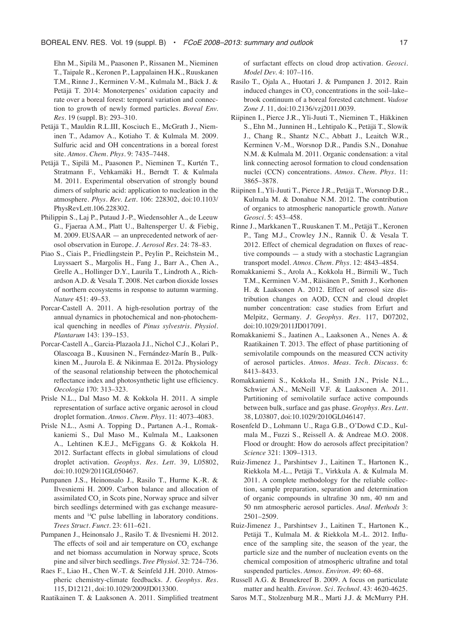Ehn M., Sipilä M., Paasonen P., Rissanen M., Nieminen T., Taipale R., Keronen P., Lappalainen H.K., Ruuskanen T.M., Rinne J., Kerminen V.-M., Kulmala M., Bäck J. & Petäjä T. 2014: Monoterpenes' oxidation capacity and rate over a boreal forest: temporal variation and connection to growth of newly formed particles. *Boreal Env. Res.* 19 (suppl. B): 293–310.

- Petäjä T., Mauldin R.L.III, Kosciuch E., McGrath J., Nieminen T., Adamov A., Kotiaho T. & Kulmala M. 2009. Sulfuric acid and OH concentrations in a boreal forest site. *Atmos. Chem. Phys.* 9: 7435–7448.
- Petäjä T., Sipilä M., Paasonen P., Nieminen T., Kurtén T., Stratmann F., Vehkamäki H., Berndt T. & Kulmala M. 2011. Experimental observation of strongly bound dimers of sulphuric acid: application to nucleation in the atmosphere. *Phys. Rev. Lett.* 106: 228302, doi:10.1103/ PhysRevLett.106.228302.
- Philippin S., Laj P., Putaud J.-P., Wiedensohler A., de Leeuw G., Fjaeraa A.M., Platt U., Baltensperger U. & Fiebig, M. 2009. EUSAAR — an unprecedented network of aerosol observation in Europe. *J. Aerosol Res.* 24: 78–83.
- Piao S., Ciais P., Friedlingstein P., Peylin P., Reichstein M., Luyssaert S., Margolis H., Fang J., Barr A., Chen A., Grelle A., Hollinger D.Y., Laurila T., Lindroth A., Richardson A.D. & Vesala T. 2008. Net carbon dioxide losses of northern ecosystems in response to autumn warming. *Nature* 451: 49–53.
- Porcar-Castell A. 2011. A high-resolution portray of the annual dynamics in photochemical and non-photochemical quenching in needles of *Pinus sylvestris*. *Physiol. Plantarum* 143: 139–153.
- Porcar-Castell A., Garcia-Plazaola J.I., Nichol C.J., Kolari P., Olascoaga B., Kuusinen N., Fernández-Marín B., Pulkkinen M., Juurola E. & Nikinmaa E. 2012a. Physiology of the seasonal relationship between the photochemical reflectance index and photosynthetic light use efficiency. *Oecologia* 170: 313–323.
- Prisle N.L., Dal Maso M. & Kokkola H. 2011. A simple representation of surface active organic aerosol in cloud droplet formation. *Atmos. Chem. Phys.* 11: 4073–4083.
- Prisle N.L., Asmi A. Topping D., Partanen A.-I., Romakkaniemi S., Dal Maso M., Kulmala M., Laaksonen A., Lehtinen K.E.J., McFiggans G. & Kokkola H. 2012. Surfactant effects in global simulations of cloud droplet activation. *Geophys. Res. Lett*. 39, L05802, doi:10.1029/2011GL050467.
- Pumpanen J.S., Heinonsalo J., Rasilo T., Hurme K.-R. & Ilvesniemi H. 2009. Carbon balance and allocation of assimilated  $CO<sub>2</sub>$  in Scots pine, Norway spruce and silver birch seedlings determined with gas exchange measurements and 14C pulse labelling in laboratory conditions. *Trees Struct. Funct.* 23: 611–621.
- Pumpanen J., Heinonsalo J., Rasilo T. & Ilvesniemi H. 2012. The effects of soil and air temperature on  $CO<sub>2</sub>$  exchange and net biomass accumulation in Norway spruce, Scots pine and silver birch seedlings. *Tree Physiol.* 32: 724–736.
- Raes F., Liao H., Chen W.-T. & Seinfeld J.H. 2010. Atmospheric chemistry-climate feedbacks. *J. Geophys. Res*. 115, D12121, doi:10.1029/2009JD013300.

Raatikainen T. & Laaksonen A. 2011. Simplified treatment

of surfactant effects on cloud drop activation. *Geosci. Model Dev.* 4: 107–116.

- Rasilo T., Ojala A., Huotari J. & Pumpanen J. 2012. Rain induced changes in  $CO_2$  concentrations in the soil-lakebrook continuum of a boreal forested catchment. *Vadose Zone J*. 11, doi:10.2136/vzj2011.0039.
- Riipinen I., Pierce J.R., Yli-Juuti T., Nieminen T., Häkkinen S., Ehn M., Junninen H., Lehtipalo K., Petäjä T., Slowik J., Chang R., Shantz N.C., Abbatt J., Leaitch W.R., Kerminen V.-M., Worsnop D.R., Pandis S.N., Donahue N.M. & Kulmala M. 2011. Organic condensation: a vital link connecting aerosol formation to cloud condensation nuclei (CCN) concentrations. *Atmos. Chem. Phys.* 11: 3865–3878.
- Riipinen I., Yli-Juuti T., Pierce J.R., Petäjä T., Worsnop D.R., Kulmala M. & Donahue N.M. 2012. The contribution of organics to atmospheric nanoparticle growth. *Nature Geosci*. 5: 453–458.
- Rinne J., Markkanen T., Ruuskanen T. M., Petäjä T., Keronen P., Tang M.J., Crowley J.N., Rannik Ü. & Vesala T. 2012. Effect of chemical degradation on fluxes of reactive compounds — a study with a stochastic Lagrangian transport model. *Atmos. Chem. Phys.* 12: 4843–4854.
- Romakkaniemi S., Arola A., Kokkola H., Birmili W., Tuch T.M., Kerminen V.-M., Räisänen P., Smith J., Korhonen H. & Laaksonen A. 2012. Effect of aerosol size distribution changes on AOD, CCN and cloud droplet number concentration: case studies from Erfurt and Melpitz, Germany. *J. Geophys. Res*. 117, D07202, doi:10.1029/2011JD017091.
- Romakkaniemi S., Jaatinen A., Laaksonen A., Nenes A. & Raatikainen T. 2013. The effect of phase partitioning of semivolatile compounds on the measured CCN activity of aerosol particles. *Atmos. Meas. Tech. Discuss.* 6: 8413–8433.
- Romakkaniemi S., Kokkola H., Smith J.N., Prisle N.L., Schwier A.N., McNeill V.F. & Laaksonen A. 2011. Partitioning of semivolatile surface active compounds between bulk, surface and gas phase. *Geophys. Res. Lett.* 38, L03807, doi:10.1029/2010GL046147.
- Rosenfeld D., Lohmann U., Raga G.B., O'Dowd C.D., Kulmala M., Fuzzi S., Reissell A. & Andreae M.O. 2008. Flood or drought: How do aerosols affect precipitation? *Science* 321: 1309–1313.
- Ruiz-Jimenez J., Parshintsev J., Laitinen T., Hartonen K., Riekkola M.-L., Petäjä T., Virkkula A. & Kulmala M. 2011. A complete methodology for the reliable collection, sample preparation, separation and determination of organic compounds in ultrafine 30 nm, 40 nm and 50 nm atmospheric aerosol particles. *Anal. Methods* 3: 2501–2509.
- Ruiz-Jimenez J., Parshintsev J., Laitinen T., Hartonen K., Petäjä T., Kulmala M. & Riekkola M.-L. 2012. Influence of the sampling site, the season of the year, the particle size and the number of nucleation events on the chemical composition of atmospheric ultrafine and total suspended particles. *Atmos. Environ.* 49: 60–68.
- Russell A.G. & Brunekreef B. 2009. A focus on particulate matter and health. *Environ. Sci. Technol.* 43: 4620-4625.
- Saros M.T., Stolzenburg M.R., Marti J.J. & McMurry P.H.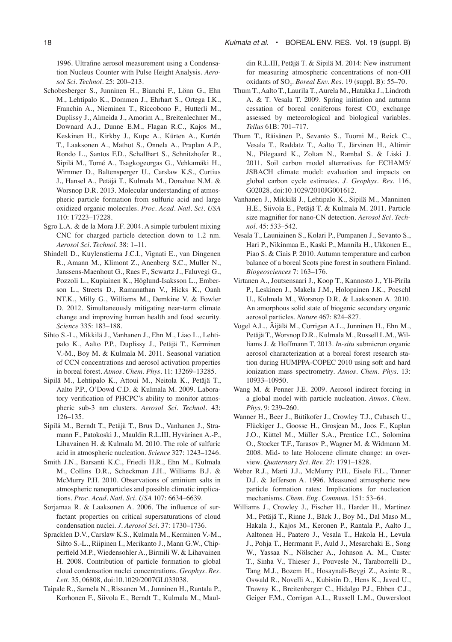1996. Ultrafine aerosol measurement using a Condensation Nucleus Counter with Pulse Height Analysis. *Aerosol Sci. Technol.* 25: 200–213.

- Schobesberger S., Junninen H., Bianchi F., Lönn G., Ehn M., Lehtipalo K., Dommen J., Ehrhart S., Ortega I.K., Franchin A., Nieminen T., Riccobono F., Hutterli M., Duplissy J., Almeida J., Amorim A., Breitenlechner M., Downard A.J., Dunne E.M., Flagan R.C., Kajos M., Keskinen H., Kirkby J., Kupc A., Kürten A., Kurtén T., Laaksonen A., Mathot S., Onnela A., Praplan A.P., Rondo L., Santos F.D., Schallhart S., Schnitzhofer R., Sipilä M., Tomé A., Tsagkogeorgas G., Vehkamäki H., Wimmer D., Baltensperger U., Carslaw K.S., Curtius J., Hansel A., Petäjä T., Kulmala M., Donahue N.M. & Worsnop D.R. 2013. Molecular understanding of atmospheric particle formation from sulfuric acid and large oxidized organic molecules. *Proc. Acad. Natl. Sci. USA* 110: 17223–17228.
- Sgro L.A. & de la Mora J.F. 2004. A simple turbulent mixing CNC for charged particle detection down to 1.2 nm. *Aerosol Sci. Technol.* 38: 1–11.
- Shindell D., Kuylenstierna J.C.I., Vignati E., van Dingenen R., Amann M., Klimont Z., Anenberg S.C., Muller N., Janssens-Maenhout G., Raes F., Scwartz J., Faluvegi G., Pozzoli L., Kupiainen K., Höglund-Isaksson L., Emberson L., Streets D., Ramanathan V., Hicks K., Oanh NT.K., Milly G., Williams M., Demkine V. & Fowler D. 2012. Simultaneously mitigating near-term climate change and improving human health and food security. *Science* 335: 183–188.
- Sihto S.-L., Mikkilä J., Vanhanen J., Ehn M., Liao L., Lehtipalo K., Aalto P.P., Duplissy J., Petäjä T., Kerminen V.-M., Boy M. & Kulmala M. 2011. Seasonal variation of CCN concentrations and aerosol activation properties in boreal forest. *Atmos. Chem. Phys.* 11: 13269–13285.
- Sipilä M., Lehtipalo K., Attoui M., Neitola K., Petäjä T., Aalto P.P., O'Dowd C.D. & Kulmala M. 2009. Laboratory verification of PHCPC's ability to monitor atmospheric sub-3 nm clusters. *Aerosol Sci. Technol.* 43: 126–135.
- Sipilä M., Berndt T., Petäjä T., Brus D., Vanhanen J., Stramann F., Patokoski J., Mauldin R.L.III, Hyvärinen A.-P., Lihavainen H. & Kulmala M. 2010. The role of sulfuric acid in atmospheric nucleation. *Science* 327: 1243–1246.
- Smith J.N., Barsanti K.C., Friedli H.R., Ehn M., Kulmala M., Collins D.R., Scheckman J.H., Williams B.J. & McMurry P.H. 2010. Observations of aminium salts in atmospheric nanoparticles and possible climatic implications. *Proc. Acad. Natl. Sci. USA* 107: 6634–6639.
- Sorjamaa R. & Laaksonen A. 2006. The influence of surfactant properties on critical supersaturations of cloud condensation nuclei. *J. Aerosol Sci.* 37: 1730–1736.
- Spracklen D.V., Carslaw K.S., Kulmala M., Kerminen V.-M., Sihto S.-L., Riipinen I., Merikanto J., Mann G.W., Chipperfield M.P., Wiedensohler A., Birmili W. & Lihavainen H. 2008. Contribution of particle formation to global cloud condensation nuclei concentrations. *Geophys. Res. Lett.* 35, 06808, doi:10.1029/2007GL033038.
- Taipale R., Sarnela N., Rissanen M., Junninen H., Rantala P., Korhonen F., Siivola E., Berndt T., Kulmala M., Maul-

din R.L.III, Petäjä T. & Sipilä M. 2014: New instrument for measuring atmospheric concentrations of non-OH oxidants of SO<sub>2</sub>. *Boreal Env. Res.* 19 (suppl. B): 55–70.

- Thum T., Aalto T., Laurila T., Aurela M., Hatakka J., Lindroth A. & T. Vesala T. 2009. Spring initiation and autumn cessation of boreal coniferous forest  $CO<sub>2</sub>$  exchange assessed by meteorological and biological variables. *Tellus* 61B: 701–717.
- Thum T., Räisänen P., Sevanto S., Tuomi M., Reick C., Vesala T., Raddatz T., Aalto T., Järvinen H., Altimir N., Pilegaard K., Zoltan N., Rambal S. & Liski J. 2011. Soil carbon model alternatives for ECHAM5/ JSBACH climate model: evaluation and impacts on global carbon cycle estimates. *J. Geophys. Res.* 116, G02028, doi:10.1029/2010JG001612.
- Vanhanen J., Mikkilä J., Lehtipalo K., Sipilä M., Manninen H.E., Siivola E., Petäjä T. & Kulmala M. 2011. Particle size magnifier for nano-CN detection. *Aerosol Sci. Technol*. 45: 533–542.
- Vesala T., Launiainen S., Kolari P., Pumpanen J., Sevanto S., Hari P., Nikinmaa E., Kaski P., Mannila H., Ukkonen E., Piao S. & Ciais P. 2010. Autumn temperature and carbon balance of a boreal Scots pine forest in southern Finland. *Biogeosciences* 7: 163–176.
- Virtanen A., Joutsensaari J., Koop T., Kannosto J., Yli-Pirila P., Leskinen J., Makela J.M., Holopainen J.K., Poeschl U., Kulmala M., Worsnop D.R. & Laaksonen A. 2010. An amorphous solid state of biogenic secondary organic aerosol particles. *Nature* 467: 824–827.
- Vogel A.L., Äijälä M., Corrigan A.L., Junninen H., Ehn M., Petäjä T., Worsnop D.R., Kulmala M., Russell L.M., Williams J. & Hoffmann T. 2013. *In-situ* submicron organic aerosol characterization at a boreal forest research station during HUMPPA-COPEC 2010 using soft and hard ionization mass spectrometry. *Atmos. Chem. Phys.* 13: 10933–10950.
- Wang M. & Penner J.E. 2009. Aerosol indirect forcing in a global model with particle nucleation. *Atmos. Chem. Phys*. 9: 239–260.
- Wanner H., Beer J., Bütikofer J., Crowley T.J., Cubasch U., Flückiger J., Goosse H., Grosjean M., Joos F., Kaplan J.O., Küttel M., Müller S.A., Prentice I.C., Solomina O., Stocker T.F., Tarasov P., Wagner M. & Widmann M. 2008. Mid- to late Holocene climate change: an overview. *Quaternary Sci. Rev.* 27: 1791–1828.
- Weber R.J., Marti J.J., McMurry P.H., Eisele F.L., Tanner D.J. & Jefferson A. 1996. Measured atmospheric new particle formation rates: Implications for nucleation mechanisms. *Chem. Eng. Commun.* 151: 53–64.
- Williams J., Crowley J., Fischer H., Harder H., Martinez M., Petäjä T., Rinne J., Bäck J., Boy M., Dal Maso M., Hakala J., Kajos M., Keronen P., Rantala P., Aalto J., Aaltonen H., Paatero J., Vesala T., Hakola H., Levula J., Pohja T., Herrmann F., Auld J., Mesarchaki E., Song W., Yassaa N., Nölscher A., Johnson A. M., Custer T., Sinha V., Thieser J., Pouvesle N., Taraborrelli D., Tang M.J., Bozem H., Hosaynali-Beygi Z., Axinte R., Oswald R., Novelli A., Kubistin D., Hens K., Javed U., Trawny K., Breitenberger C., Hidalgo P.J., Ebben C.J., Geiger F.M., Corrigan A.L., Russell L.M., Ouwersloot